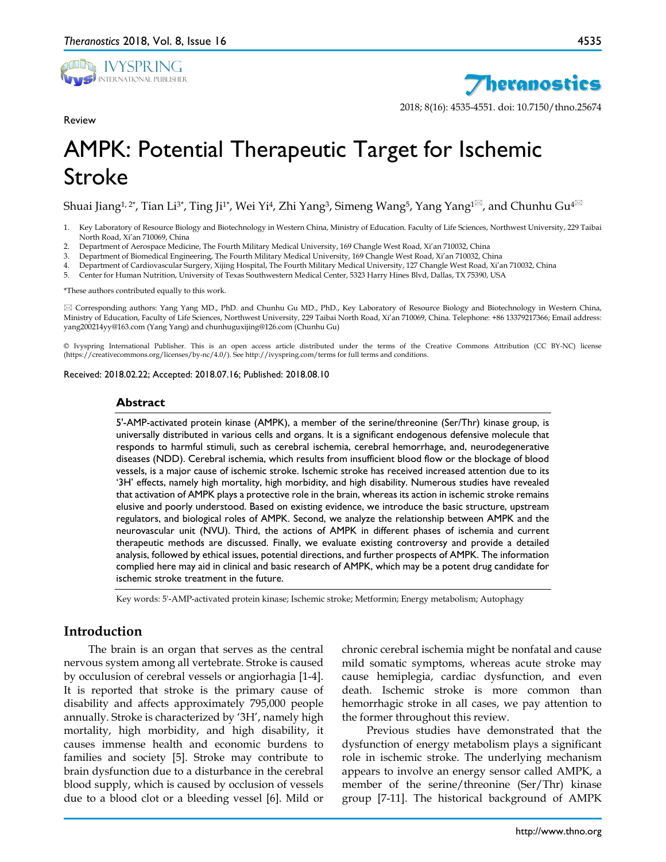

Review

4535



2018; 8(16): 4535-4551. doi: 10.7150/thno.25674

# AMPK: Potential Therapeutic Target for Ischemic Stroke

Shuai Jiang<sup>1, 2\*</sup>, Tian Li<sup>3\*</sup>, Ting Ji<sup>1\*</sup>, Wei Yi<sup>4</sup>, Zhi Yang<sup>3</sup>, Simeng Wang<sup>5</sup>, Yang Yang<sup>1 $\boxtimes$ </sup>, and Chunhu Gu<sup>4 $\boxtimes$ </sup>

- 1. Key Laboratory of Resource Biology and Biotechnology in Western China, Ministry of Education. Faculty of Life Sciences, Northwest University, 229 Taibai North Road, Xi'an 710069, China
- 2. Department of Aerospace Medicine, The Fourth Military Medical University, 169 Changle West Road, Xi'an 710032, China
- 3. Department of Biomedical Engineering, The Fourth Military Medical University, 169 Changle West Road, Xi'an 710032, China
- 4. Department of Cardiovascular Surgery, Xijing Hospital, The Fourth Military Medical University, 127 Changle West Road, Xi'an 710032, China
- 5. Center for Human Nutrition, University of Texas Southwestern Medical Center, 5323 Harry Hines Blvd, Dallas, TX 75390, USA

\*These authors contributed equally to this work.

 Corresponding authors: Yang Yang MD., PhD. and Chunhu Gu MD., PhD., Key Laboratory of Resource Biology and Biotechnology in Western China, Ministry of Education, Faculty of Life Sciences, Northwest University, 229 Taibai North Road, Xi'an 710069, China. Telephone: +86 13379217366; Email address: yang200214yy@163.com (Yang Yang) and chunhuguxijing@126.com (Chunhu Gu)

© Ivyspring International Publisher. This is an open access article distributed under the terms of the Creative Commons Attribution (CC BY-NC) license (https://creativecommons.org/licenses/by-nc/4.0/). See http://ivyspring.com/terms for full terms and conditions.

Received: 2018.02.22; Accepted: 2018.07.16; Published: 2018.08.10

#### **Abstract**

5'-AMP-activated protein kinase (AMPK), a member of the serine/threonine (Ser/Thr) kinase group, is universally distributed in various cells and organs. It is a significant endogenous defensive molecule that responds to harmful stimuli, such as cerebral ischemia, cerebral hemorrhage, and, neurodegenerative diseases (NDD). Cerebral ischemia, which results from insufficient blood flow or the blockage of blood vessels, is a major cause of ischemic stroke. Ischemic stroke has received increased attention due to its '3H' effects, namely high mortality, high morbidity, and high disability. Numerous studies have revealed that activation of AMPK plays a protective role in the brain, whereas its action in ischemic stroke remains elusive and poorly understood. Based on existing evidence, we introduce the basic structure, upstream regulators, and biological roles of AMPK. Second, we analyze the relationship between AMPK and the neurovascular unit (NVU). Third, the actions of AMPK in different phases of ischemia and current therapeutic methods are discussed. Finally, we evaluate existing controversy and provide a detailed analysis, followed by ethical issues, potential directions, and further prospects of AMPK. The information complied here may aid in clinical and basic research of AMPK, which may be a potent drug candidate for ischemic stroke treatment in the future.

Key words: 5'-AMP-activated protein kinase; Ischemic stroke; Metformin; Energy metabolism; Autophagy

## **Introduction**

The brain is an organ that serves as the central nervous system among all vertebrate. Stroke is caused by occulusion of cerebral vessels or angiorhagia [1-4]. It is reported that stroke is the primary cause of disability and affects approximately 795,000 people annually. Stroke is characterized by '3H', namely high mortality, high morbidity, and high disability, it causes immense health and economic burdens to families and society [5]. Stroke may contribute to brain dysfunction due to a disturbance in the cerebral blood supply, which is caused by occlusion of vessels due to a blood clot or a bleeding vessel [6]. Mild or

chronic cerebral ischemia might be nonfatal and cause mild somatic symptoms, whereas acute stroke may cause hemiplegia, cardiac dysfunction, and even death. Ischemic stroke is more common than hemorrhagic stroke in all cases, we pay attention to the former throughout this review.

Previous studies have demonstrated that the dysfunction of energy metabolism plays a significant role in ischemic stroke. The underlying mechanism appears to involve an energy sensor called AMPK, a member of the serine/threonine (Ser/Thr) kinase group [7-11]. The historical background of AMPK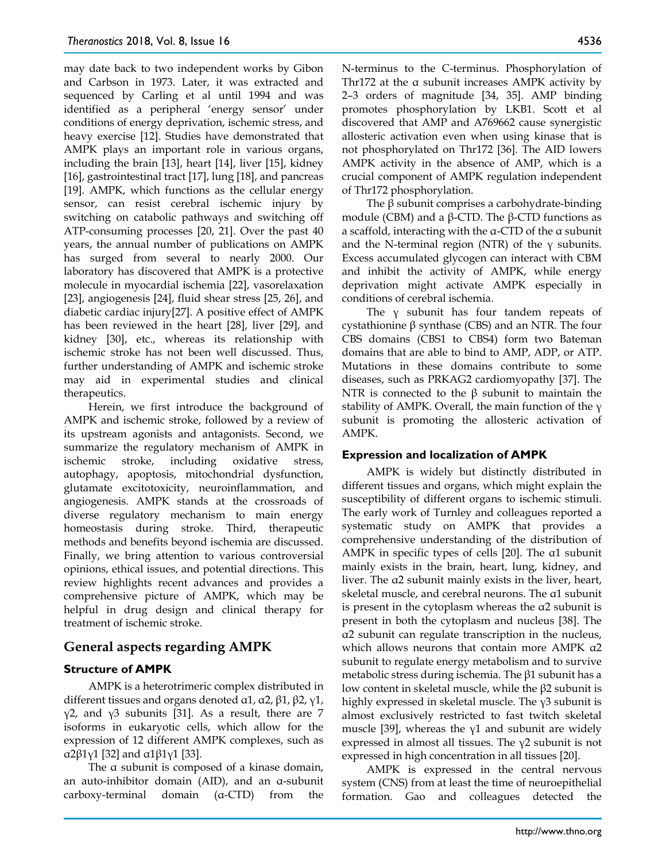may date back to two independent works by Gibon and Carbson in 1973. Later, it was extracted and sequenced by Carling et al until 1994 and was identified as a peripheral 'energy sensor' under conditions of energy deprivation, ischemic stress, and heavy exercise [12]. Studies have demonstrated that AMPK plays an important role in various organs, including the brain [13], heart [14], liver [15], kidney [16], gastrointestinal tract [17], lung [18], and pancreas [19]. AMPK, which functions as the cellular energy sensor, can resist cerebral ischemic injury by switching on catabolic pathways and switching off ATP-consuming processes [20, 21]. Over the past 40 years, the annual number of publications on AMPK has surged from several to nearly 2000. Our laboratory has discovered that AMPK is a protective molecule in myocardial ischemia [22], vasorelaxation [23], angiogenesis [24], fluid shear stress [25, 26], and diabetic cardiac injury[27]. A positive effect of AMPK has been reviewed in the heart [28], liver [29], and kidney [30], etc., whereas its relationship with ischemic stroke has not been well discussed. Thus, further understanding of AMPK and ischemic stroke may aid in experimental studies and clinical therapeutics.

Herein, we first introduce the background of AMPK and ischemic stroke, followed by a review of its upstream agonists and antagonists. Second, we summarize the regulatory mechanism of AMPK in ischemic stroke, including oxidative stress, autophagy, apoptosis, mitochondrial dysfunction, glutamate excitotoxicity, neuroinflammation, and angiogenesis. AMPK stands at the crossroads of diverse regulatory mechanism to main energy homeostasis during stroke. Third, therapeutic methods and benefits beyond ischemia are discussed. Finally, we bring attention to various controversial opinions, ethical issues, and potential directions. This review highlights recent advances and provides a comprehensive picture of AMPK, which may be helpful in drug design and clinical therapy for treatment of ischemic stroke.

## **General aspects regarding AMPK**

## **Structure of AMPK**

AMPK is a heterotrimeric complex distributed in different tissues and organs denoted α1, α2, β1, β2, γ1, γ2, and γ3 subunits [31]. As a result, there are 7 isoforms in eukaryotic cells, which allow for the expression of 12 different AMPK complexes, such as α2β1γ1 [32] and α1β1γ1 [33].

The α subunit is composed of a kinase domain, an auto-inhibitor domain (AID), and an α-subunit carboxy-terminal domain (α-CTD) from the

N-terminus to the C-terminus. Phosphorylation of Thr172 at the α subunit increases AMPK activity by 2–3 orders of magnitude [34, 35]. AMP binding promotes phosphorylation by LKB1. Scott et al discovered that AMP and A769662 cause synergistic allosteric activation even when using kinase that is not phosphorylated on Thr172 [36]. The AID lowers AMPK activity in the absence of AMP, which is a crucial component of AMPK regulation independent of Thr172 phosphorylation.

The  $\beta$  subunit comprises a carbohydrate-binding module (CBM) and a β-CTD. The β-CTD functions as a scaffold, interacting with the α-CTD of the α subunit and the N-terminal region (NTR) of the γ subunits. Excess accumulated glycogen can interact with CBM and inhibit the activity of AMPK, while energy deprivation might activate AMPK especially in conditions of cerebral ischemia.

The  $\gamma$  subunit has four tandem repeats of cystathionine β synthase (CBS) and an NTR. The four CBS domains (CBS1 to CBS4) form two Bateman domains that are able to bind to AMP, ADP, or ATP. Mutations in these domains contribute to some diseases, such as PRKAG2 cardiomyopathy [37]. The NTR is connected to the β subunit to maintain the stability of AMPK. Overall, the main function of the γ subunit is promoting the allosteric activation of AMPK.

## **Expression and localization of AMPK**

AMPK is widely but distinctly distributed in different tissues and organs, which might explain the susceptibility of different organs to ischemic stimuli. The early work of Turnley and colleagues reported a systematic study on AMPK that provides a comprehensive understanding of the distribution of AMPK in specific types of cells [20]. The α1 subunit mainly exists in the brain, heart, lung, kidney, and liver. The α2 subunit mainly exists in the liver, heart, skeletal muscle, and cerebral neurons. The α1 subunit is present in the cytoplasm whereas the  $a2$  subunit is present in both the cytoplasm and nucleus [38]. The α2 subunit can regulate transcription in the nucleus, which allows neurons that contain more AMPK α2 subunit to regulate energy metabolism and to survive metabolic stress during ischemia. The  $\beta$ 1 subunit has a low content in skeletal muscle, while the β2 subunit is highly expressed in skeletal muscle. The  $\gamma$ 3 subunit is almost exclusively restricted to fast twitch skeletal muscle [39], whereas the  $y1$  and subunit are widely expressed in almost all tissues. The  $\gamma$ 2 subunit is not expressed in high concentration in all tissues [20].

AMPK is expressed in the central nervous system (CNS) from at least the time of neuroepithelial formation. Gao and colleagues detected the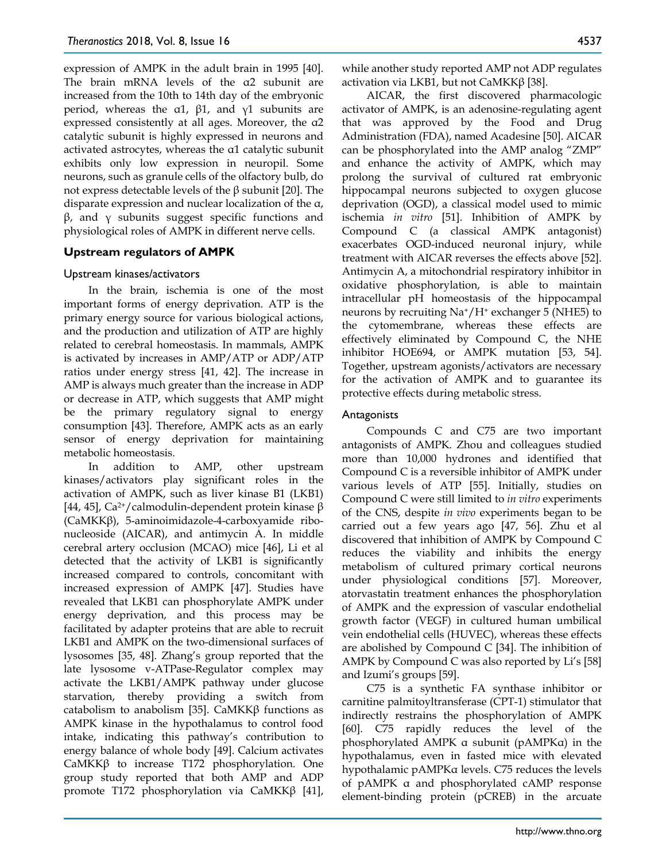expression of AMPK in the adult brain in 1995 [40]. The brain mRNA levels of the α2 subunit are increased from the 10th to 14th day of the embryonic period, whereas the α1,  $β1$ , and  $γ1$  subunits are expressed consistently at all ages. Moreover, the α2 catalytic subunit is highly expressed in neurons and activated astrocytes, whereas the α1 catalytic subunit exhibits only low expression in neuropil. Some neurons, such as granule cells of the olfactory bulb, do not express detectable levels of the β subunit [20]. The disparate expression and nuclear localization of the α,  $β$ , and γ subunits suggest specific functions and physiological roles of AMPK in different nerve cells.

## **Upstream regulators of AMPK**

#### Upstream kinases/activators

In the brain, ischemia is one of the most important forms of energy deprivation. ATP is the primary energy source for various biological actions, and the production and utilization of ATP are highly related to cerebral homeostasis. In mammals, AMPK is activated by increases in AMP/ATP or ADP/ATP ratios under energy stress [41, 42]. The increase in AMP is always much greater than the increase in ADP or decrease in ATP, which suggests that AMP might be the primary regulatory signal to energy consumption [43]. Therefore, AMPK acts as an early sensor of energy deprivation for maintaining metabolic homeostasis.

In addition to AMP, other upstream kinases/activators play significant roles in the activation of AMPK, such as liver kinase B1 (LKB1) [44, 45], Ca<sup>2+</sup>/calmodulin-dependent protein kinase  $\beta$ (CaMKKβ), 5-aminoimidazole-4-carboxyamide ribonucleoside (AICAR), and antimycin A. In middle cerebral artery occlusion (MCAO) mice [46], Li et al detected that the activity of LKB1 is significantly increased compared to controls, concomitant with increased expression of AMPK [47]. Studies have revealed that LKB1 can phosphorylate AMPK under energy deprivation, and this process may be facilitated by adapter proteins that are able to recruit LKB1 and AMPK on the two-dimensional surfaces of lysosomes [35, 48]. Zhang's group reported that the late lysosome v-ATPase-Regulator complex may activate the LKB1/AMPK pathway under glucose starvation, thereby providing a switch from catabolism to anabolism [35]. CaMKKβ functions as AMPK kinase in the hypothalamus to control food intake, indicating this pathway's contribution to energy balance of whole body [49]. Calcium activates CaMKKβ to increase T172 phosphorylation. One group study reported that both AMP and ADP promote T172 phosphorylation via CaMKKβ [41],

while another study reported AMP not ADP regulates activation via LKB1, but not CaMKKβ [38].

AICAR, the first discovered pharmacologic activator of AMPK, is an adenosine-regulating agent that was approved by the Food and Drug Administration (FDA), named Acadesine [50]. AICAR can be phosphorylated into the AMP analog "ZMP" and enhance the activity of AMPK, which may prolong the survival of cultured rat embryonic hippocampal neurons subjected to oxygen glucose deprivation (OGD), a classical model used to mimic ischemia *in vitro* [51]. Inhibition of AMPK by Compound C (a classical AMPK antagonist) exacerbates OGD-induced neuronal injury, while treatment with AICAR reverses the effects above [52]. Antimycin A, a mitochondrial respiratory inhibitor in oxidative phosphorylation, is able to maintain intracellular pH homeostasis of the hippocampal neurons by recruiting  $Na^+/H^+$  exchanger 5 (NHE5) to the cytomembrane, whereas these effects are effectively eliminated by Compound C, the NHE inhibitor HOE694, or AMPK mutation [53, 54]. Together, upstream agonists/activators are necessary for the activation of AMPK and to guarantee its protective effects during metabolic stress.

#### Antagonists

Compounds C and C75 are two important antagonists of AMPK. Zhou and colleagues studied more than 10,000 hydrones and identified that Compound C is a reversible inhibitor of AMPK under various levels of ATP [55]. Initially, studies on Compound C were still limited to *in vitro* experiments of the CNS, despite *in vivo* experiments began to be carried out a few years ago [47, 56]. Zhu et al discovered that inhibition of AMPK by Compound C reduces the viability and inhibits the energy metabolism of cultured primary cortical neurons under physiological conditions [57]. Moreover, atorvastatin treatment enhances the phosphorylation of AMPK and the expression of vascular endothelial growth factor (VEGF) in cultured human umbilical vein endothelial cells (HUVEC), whereas these effects are abolished by Compound C [34]. The inhibition of AMPK by Compound C was also reported by Li's [58] and Izumi's groups [59].

C75 is a synthetic FA synthase inhibitor or carnitine palmitoyltransferase (CPT-1) stimulator that indirectly restrains the phosphorylation of AMPK [60]. C75 rapidly reduces the level of the phosphorylated AMPK α subunit (pAMPKα) in the hypothalamus, even in fasted mice with elevated hypothalamic pAMPKα levels. C75 reduces the levels of pAMPK α and phosphorylated cAMP response element-binding protein (pCREB) in the arcuate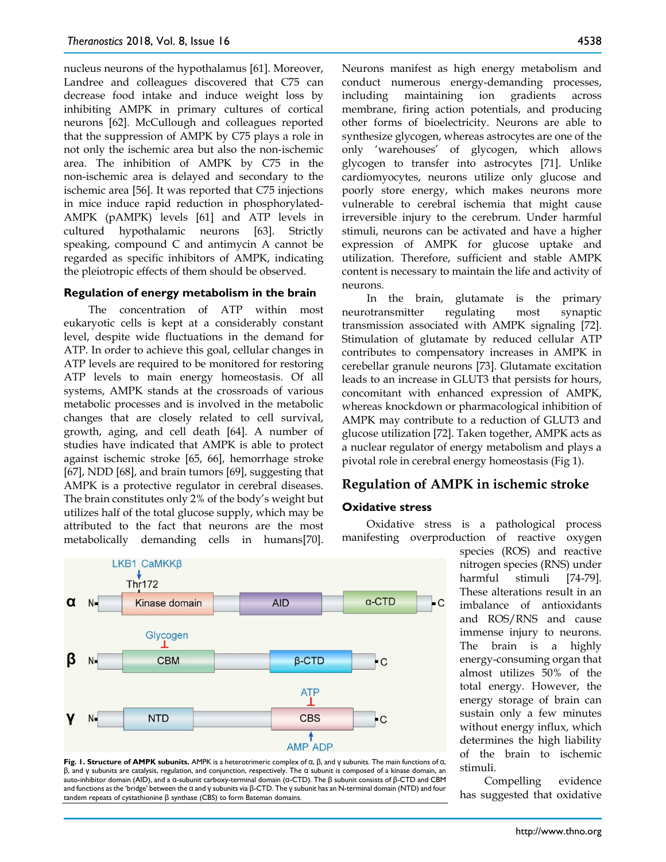nucleus neurons of the hypothalamus [61]. Moreover, Landree and colleagues discovered that C75 can decrease food intake and induce weight loss by inhibiting AMPK in primary cultures of cortical neurons [62]. McCullough and colleagues reported that the suppression of AMPK by C75 plays a role in not only the ischemic area but also the non-ischemic area. The inhibition of AMPK by C75 in the non-ischemic area is delayed and secondary to the ischemic area [56]. It was reported that C75 injections in mice induce rapid reduction in phosphorylated-AMPK (pAMPK) levels [61] and ATP levels in cultured hypothalamic neurons [63]. Strictly speaking, compound C and antimycin A cannot be regarded as specific inhibitors of AMPK, indicating the pleiotropic effects of them should be observed.

#### **Regulation of energy metabolism in the brain**

The concentration of ATP within most eukaryotic cells is kept at a considerably constant level, despite wide fluctuations in the demand for ATP. In order to achieve this goal, cellular changes in ATP levels are required to be monitored for restoring ATP levels to main energy homeostasis. Of all systems, AMPK stands at the crossroads of various metabolic processes and is involved in the metabolic changes that are closely related to cell survival, growth, aging, and cell death [64]. A number of studies have indicated that AMPK is able to protect against ischemic stroke [65, 66], hemorrhage stroke [67], NDD [68], and brain tumors [69], suggesting that AMPK is a protective regulator in cerebral diseases. The brain constitutes only 2% of the body's weight but utilizes half of the total glucose supply, which may be attributed to the fact that neurons are the most metabolically demanding cells in humans[70].





Neurons manifest as high energy metabolism and conduct numerous energy-demanding processes, including maintaining ion gradients across membrane, firing action potentials, and producing other forms of bioelectricity. Neurons are able to synthesize glycogen, whereas astrocytes are one of the only 'warehouses' of glycogen, which allows glycogen to transfer into astrocytes [71]. Unlike cardiomyocytes, neurons utilize only glucose and poorly store energy, which makes neurons more vulnerable to cerebral ischemia that might cause irreversible injury to the cerebrum. Under harmful stimuli, neurons can be activated and have a higher expression of AMPK for glucose uptake and utilization. Therefore, sufficient and stable AMPK content is necessary to maintain the life and activity of neurons.

In the brain, glutamate is the primary neurotransmitter regulating most synaptic transmission associated with AMPK signaling [72]. Stimulation of glutamate by reduced cellular ATP contributes to compensatory increases in AMPK in cerebellar granule neurons [73]. Glutamate excitation leads to an increase in GLUT3 that persists for hours, concomitant with enhanced expression of AMPK, whereas knockdown or pharmacological inhibition of AMPK may contribute to a reduction of GLUT3 and glucose utilization [72]. Taken together, AMPK acts as a nuclear regulator of energy metabolism and plays a pivotal role in cerebral energy homeostasis (Fig 1).

# **Regulation of AMPK in ischemic stroke**

## **Oxidative stress**

Oxidative stress is a pathological process manifesting overproduction of reactive oxygen

> species (ROS) and reactive nitrogen species (RNS) under harmful stimuli [74-79]. These alterations result in an imbalance of antioxidants and ROS/RNS and cause immense injury to neurons. The brain is a highly energy-consuming organ that almost utilizes 50% of the total energy. However, the energy storage of brain can sustain only a few minutes without energy influx, which determines the high liability of the brain to ischemic stimuli.

> Compelling evidence has suggested that oxidative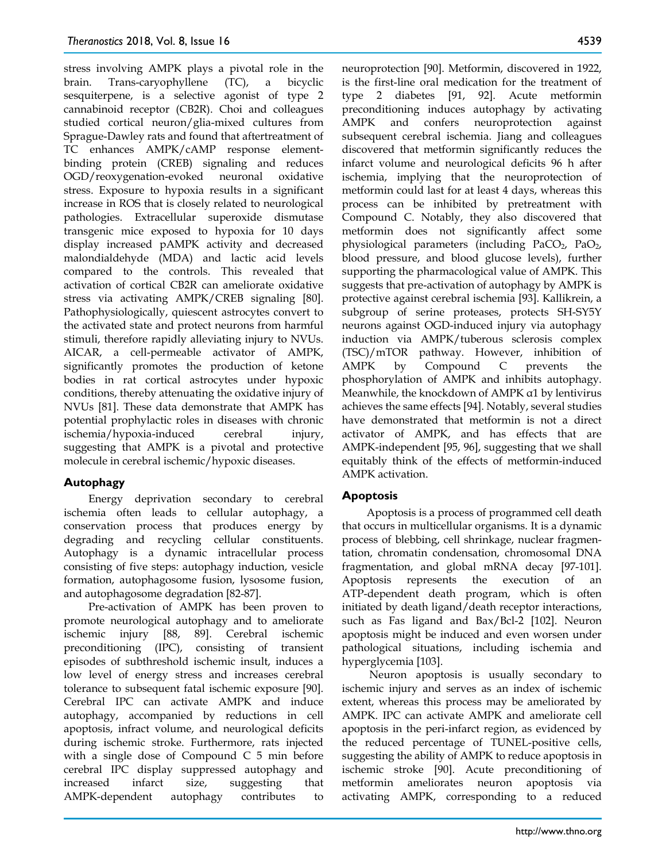stress involving AMPK plays a pivotal role in the brain. Trans-caryophyllene (TC), a bicyclic sesquiterpene, is a selective agonist of type 2 cannabinoid receptor (CB2R). Choi and colleagues studied cortical neuron/glia-mixed cultures from Sprague-Dawley rats and found that aftertreatment of TC enhances AMPK/cAMP response elementbinding protein (CREB) signaling and reduces OGD/reoxygenation-evoked neuronal oxidative stress. Exposure to hypoxia results in a significant increase in ROS that is closely related to neurological pathologies. Extracellular superoxide dismutase transgenic mice exposed to hypoxia for 10 days display increased pAMPK activity and decreased malondialdehyde (MDA) and lactic acid levels compared to the controls. This revealed that activation of cortical CB2R can ameliorate oxidative stress via activating AMPK/CREB signaling [80]. Pathophysiologically, quiescent astrocytes convert to the activated state and protect neurons from harmful stimuli, therefore rapidly alleviating injury to NVUs. AICAR, a cell-permeable activator of AMPK, significantly promotes the production of ketone bodies in rat cortical astrocytes under hypoxic conditions, thereby attenuating the oxidative injury of NVUs [81]. These data demonstrate that AMPK has potential prophylactic roles in diseases with chronic ischemia/hypoxia-induced cerebral injury, suggesting that AMPK is a pivotal and protective molecule in cerebral ischemic/hypoxic diseases.

# **Autophagy**

Energy deprivation secondary to cerebral ischemia often leads to cellular autophagy, a conservation process that produces energy by degrading and recycling cellular constituents. Autophagy is a dynamic intracellular process consisting of five steps: autophagy induction, vesicle formation, autophagosome fusion, lysosome fusion, and autophagosome degradation [82-87].

Pre-activation of AMPK has been proven to promote neurological autophagy and to ameliorate ischemic injury [88, 89]. Cerebral ischemic preconditioning (IPC), consisting of transient episodes of subthreshold ischemic insult, induces a low level of energy stress and increases cerebral tolerance to subsequent fatal ischemic exposure [90]. Cerebral IPC can activate AMPK and induce autophagy, accompanied by reductions in cell apoptosis, infract volume, and neurological deficits during ischemic stroke. Furthermore, rats injected with a single dose of Compound C 5 min before cerebral IPC display suppressed autophagy and increased infarct size, suggesting that AMPK-dependent autophagy contributes to

neuroprotection [90]. Metformin, discovered in 1922, is the first-line oral medication for the treatment of type 2 diabetes [91, 92]. Acute metformin preconditioning induces autophagy by activating AMPK and confers neuroprotection against subsequent cerebral ischemia. Jiang and colleagues discovered that metformin significantly reduces the infarct volume and neurological deficits 96 h after ischemia, implying that the neuroprotection of metformin could last for at least 4 days, whereas this process can be inhibited by pretreatment with Compound C. Notably, they also discovered that metformin does not significantly affect some physiological parameters (including  $PaCO<sub>2</sub>$ ,  $PaO<sub>2</sub>$ , blood pressure, and blood glucose levels), further supporting the pharmacological value of AMPK. This suggests that pre-activation of autophagy by AMPK is protective against cerebral ischemia [93]. Kallikrein, a subgroup of serine proteases, protects SH-SY5Y neurons against OGD-induced injury via autophagy induction via AMPK/tuberous sclerosis complex (TSC)/mTOR pathway. However, inhibition of AMPK by Compound C prevents the phosphorylation of AMPK and inhibits autophagy. Meanwhile, the knockdown of AMPK α1 by lentivirus achieves the same effects [94]. Notably, several studies have demonstrated that metformin is not a direct activator of AMPK, and has effects that are AMPK-independent [95, 96], suggesting that we shall equitably think of the effects of metformin-induced AMPK activation.

# **Apoptosis**

Apoptosis is a process of programmed cell death that occurs in multicellular organisms. It is a dynamic process of blebbing, cell shrinkage, nuclear fragmentation, chromatin condensation, chromosomal DNA fragmentation, and global mRNA decay [97-101]. Apoptosis represents the execution of an ATP-dependent death program, which is often initiated by death ligand/death receptor interactions, such as Fas ligand and Bax/Bcl-2 [102]. Neuron apoptosis might be induced and even worsen under pathological situations, including ischemia and hyperglycemia [103].

Neuron apoptosis is usually secondary to ischemic injury and serves as an index of ischemic extent, whereas this process may be ameliorated by AMPK. IPC can activate AMPK and ameliorate cell apoptosis in the peri-infarct region, as evidenced by the reduced percentage of TUNEL-positive cells, suggesting the ability of AMPK to reduce apoptosis in ischemic stroke [90]. Acute preconditioning of metformin ameliorates neuron apoptosis via activating AMPK, corresponding to a reduced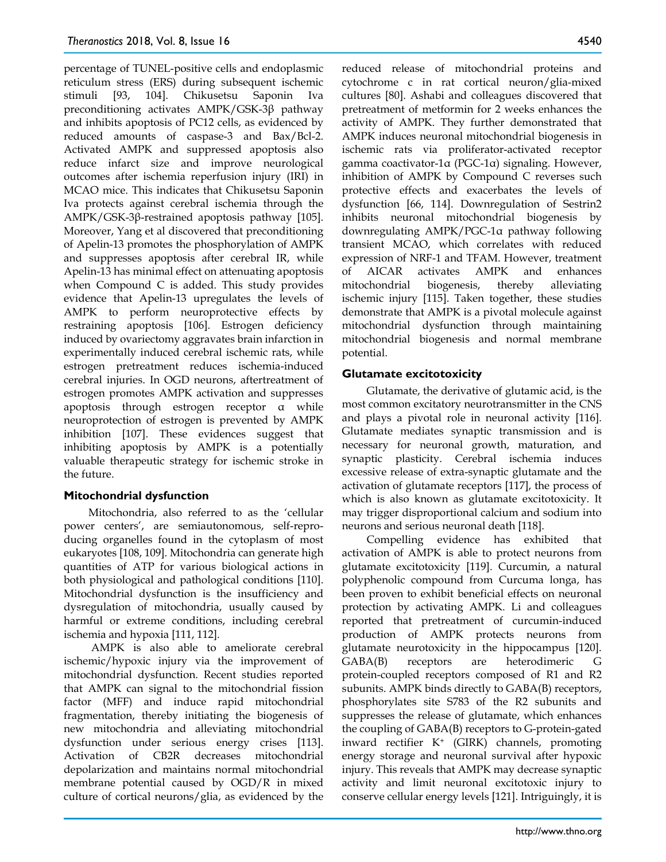percentage of TUNEL-positive cells and endoplasmic reticulum stress (ERS) during subsequent ischemic stimuli [93, 104]. Chikusetsu Saponin Iva preconditioning activates AMPK/GSK-3β pathway and inhibits apoptosis of PC12 cells, as evidenced by reduced amounts of caspase-3 and Bax/Bcl-2. Activated AMPK and suppressed apoptosis also reduce infarct size and improve neurological outcomes after ischemia reperfusion injury (IRI) in MCAO mice. This indicates that Chikusetsu Saponin Iva protects against cerebral ischemia through the AMPK/GSK-3β-restrained apoptosis pathway [105]. Moreover, Yang et al discovered that preconditioning of Apelin-13 promotes the phosphorylation of AMPK and suppresses apoptosis after cerebral IR, while Apelin-13 has minimal effect on attenuating apoptosis when Compound C is added. This study provides evidence that Apelin-13 upregulates the levels of AMPK to perform neuroprotective effects by restraining apoptosis [106]. Estrogen deficiency induced by ovariectomy aggravates brain infarction in experimentally induced cerebral ischemic rats, while estrogen pretreatment reduces ischemia-induced cerebral injuries. In OGD neurons, aftertreatment of estrogen promotes AMPK activation and suppresses apoptosis through estrogen receptor α while neuroprotection of estrogen is prevented by AMPK inhibition [107]. These evidences suggest that inhibiting apoptosis by AMPK is a potentially valuable therapeutic strategy for ischemic stroke in the future.

## **Mitochondrial dysfunction**

Mitochondria, also referred to as the 'cellular power centers', are semiautonomous, self-reproducing organelles found in the cytoplasm of most eukaryotes [108, 109]. Mitochondria can generate high quantities of ATP for various biological actions in both physiological and pathological conditions [110]. Mitochondrial dysfunction is the insufficiency and dysregulation of mitochondria, usually caused by harmful or extreme conditions, including cerebral ischemia and hypoxia [111, 112].

AMPK is also able to ameliorate cerebral ischemic/hypoxic injury via the improvement of mitochondrial dysfunction. Recent studies reported that AMPK can signal to the mitochondrial fission factor (MFF) and induce rapid mitochondrial fragmentation, thereby initiating the biogenesis of new mitochondria and alleviating mitochondrial dysfunction under serious energy crises [113]. Activation of CB2R decreases mitochondrial depolarization and maintains normal mitochondrial membrane potential caused by OGD/R in mixed culture of cortical neurons/glia, as evidenced by the

reduced release of mitochondrial proteins and cytochrome c in rat cortical neuron/glia-mixed cultures [80]. Ashabi and colleagues discovered that pretreatment of metformin for 2 weeks enhances the activity of AMPK. They further demonstrated that AMPK induces neuronal mitochondrial biogenesis in ischemic rats via proliferator-activated receptor gamma coactivator-1α (PGC-1α) signaling. However, inhibition of AMPK by Compound C reverses such protective effects and exacerbates the levels of dysfunction [66, 114]. Downregulation of Sestrin2 inhibits neuronal mitochondrial biogenesis by downregulating AMPK/PGC-1α pathway following transient MCAO, which correlates with reduced expression of NRF-1 and TFAM. However, treatment of AICAR activates AMPK and enhances mitochondrial biogenesis, thereby alleviating ischemic injury [115]. Taken together, these studies demonstrate that AMPK is a pivotal molecule against mitochondrial dysfunction through maintaining mitochondrial biogenesis and normal membrane potential.

## **Glutamate excitotoxicity**

Glutamate, the derivative of glutamic acid, is the most common excitatory neurotransmitter in the CNS and plays a pivotal role in neuronal activity [116]. Glutamate mediates synaptic transmission and is necessary for neuronal growth, maturation, and synaptic plasticity. Cerebral ischemia induces excessive release of extra-synaptic glutamate and the activation of glutamate receptors [117], the process of which is also known as glutamate excitotoxicity. It may trigger disproportional calcium and sodium into neurons and serious neuronal death [118].

Compelling evidence has exhibited that activation of AMPK is able to protect neurons from glutamate excitotoxicity [119]. Curcumin, a natural polyphenolic compound from Curcuma longa, has been proven to exhibit beneficial effects on neuronal protection by activating AMPK. Li and colleagues reported that pretreatment of curcumin-induced production of AMPK protects neurons from glutamate neurotoxicity in the hippocampus [120]. GABA(B) receptors are heterodimeric G protein-coupled receptors composed of R1 and R2 subunits. AMPK binds directly to GABA(B) receptors, phosphorylates site S783 of the R2 subunits and suppresses the release of glutamate, which enhances the coupling of GABA(B) receptors to G-protein-gated inward rectifier K+ (GIRK) channels, promoting energy storage and neuronal survival after hypoxic injury. This reveals that AMPK may decrease synaptic activity and limit neuronal excitotoxic injury to conserve cellular energy levels [121]. Intriguingly, it is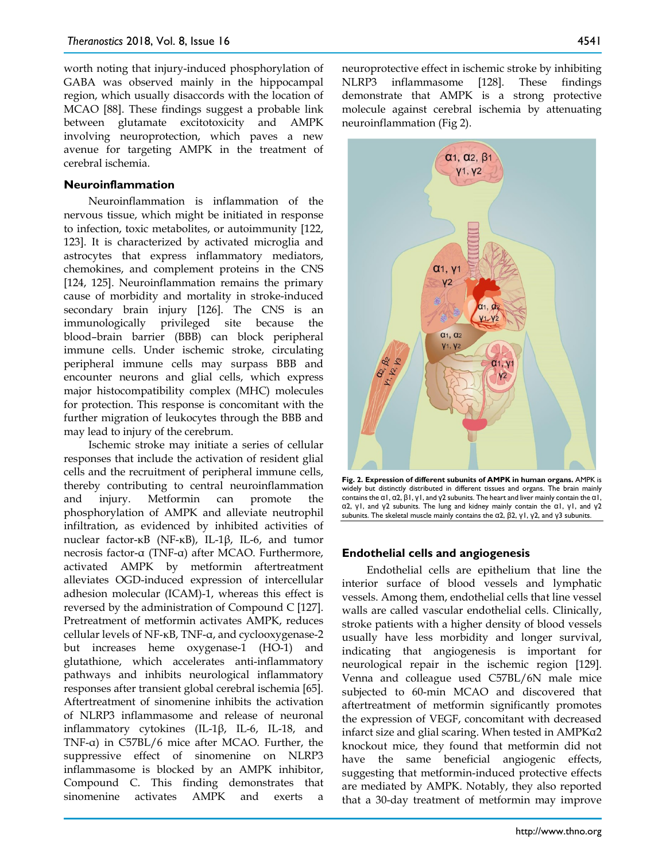worth noting that injury-induced phosphorylation of GABA was observed mainly in the hippocampal region, which usually disaccords with the location of MCAO [88]. These findings suggest a probable link between glutamate excitotoxicity and AMPK involving neuroprotection, which paves a new avenue for targeting AMPK in the treatment of cerebral ischemia.

#### **Neuroinflammation**

Neuroinflammation is inflammation of the nervous tissue, which might be initiated in response to infection, toxic metabolites, or autoimmunity [122, 123]. It is characterized by activated microglia and astrocytes that express inflammatory mediators, chemokines, and complement proteins in the CNS [124, 125]. Neuroinflammation remains the primary cause of morbidity and mortality in stroke-induced secondary brain injury [126]. The CNS is an immunologically privileged site because the blood–brain barrier (BBB) can block peripheral immune cells. Under ischemic stroke, circulating peripheral immune cells may surpass BBB and encounter neurons and glial cells, which express major histocompatibility complex (MHC) molecules for protection. This response is concomitant with the further migration of leukocytes through the BBB and may lead to injury of the cerebrum.

Ischemic stroke may initiate a series of cellular responses that include the activation of resident glial cells and the recruitment of peripheral immune cells, thereby contributing to central neuroinflammation and injury. Metformin can promote the phosphorylation of AMPK and alleviate neutrophil infiltration, as evidenced by inhibited activities of nuclear factor-κB (NF-κB), IL-1β, IL-6, and tumor necrosis factor-α (TNF-α) after MCAO. Furthermore, activated AMPK by metformin aftertreatment alleviates OGD-induced expression of intercellular adhesion molecular (ICAM)-1, whereas this effect is reversed by the administration of Compound C [127]. Pretreatment of metformin activates AMPK, reduces cellular levels of NF-κB, TNF-α, and cyclooxygenase-2 but increases heme oxygenase-1 (HO-1) and glutathione, which accelerates anti-inflammatory pathways and inhibits neurological inflammatory responses after transient global cerebral ischemia [65]. Aftertreatment of sinomenine inhibits the activation of NLRP3 inflammasome and release of neuronal inflammatory cytokines (IL-1β, IL-6, IL-18, and TNF-α) in C57BL/6 mice after MCAO. Further, the suppressive effect of sinomenine on NLRP3 inflammasome is blocked by an AMPK inhibitor, Compound C. This finding demonstrates that sinomenine activates AMPK and exerts a

neuroprotective effect in ischemic stroke by inhibiting NLRP3 inflammasome [128]. These findings demonstrate that AMPK is a strong protective molecule against cerebral ischemia by attenuating neuroinflammation (Fig 2).



**Fig. 2. Expression of different subunits of AMPK in human organs.** AMPK is widely but distinctly distributed in different tissues and organs. The brain mainly contains the α1, α2, β1, γ1, and γ2 subunits. The heart and liver mainly contain the α1, α2, γ1, and γ2 subunits. The lung and kidney mainly contain the α1, γ1, and γ2 subunits. The skeletal muscle mainly contains the α2, β2, γ1, γ2, and γ3 subunits.

#### **Endothelial cells and angiogenesis**

Endothelial cells are epithelium that line the interior surface of blood vessels and lymphatic vessels. Among them, endothelial cells that line vessel walls are called vascular endothelial cells. Clinically, stroke patients with a higher density of blood vessels usually have less morbidity and longer survival, indicating that angiogenesis is important for neurological repair in the ischemic region [129]. Venna and colleague used C57BL/6N male mice subjected to 60-min MCAO and discovered that aftertreatment of metformin significantly promotes the expression of VEGF, concomitant with decreased infarct size and glial scaring. When tested in AMPKα2 knockout mice, they found that metformin did not have the same beneficial angiogenic effects, suggesting that metformin-induced protective effects are mediated by AMPK. Notably, they also reported that a 30-day treatment of metformin may improve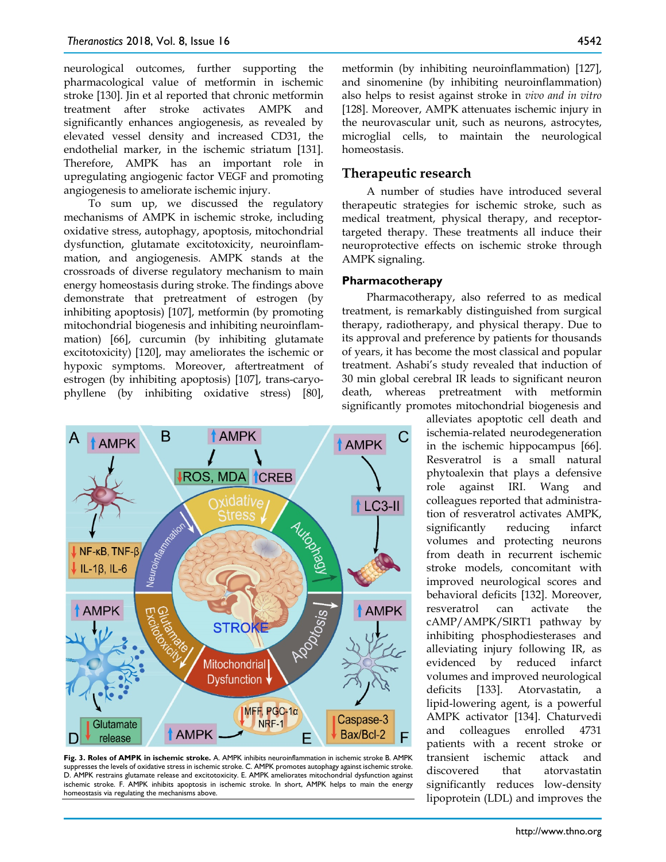neurological outcomes, further supporting the pharmacological value of metformin in ischemic stroke [130]. Jin et al reported that chronic metformin treatment after stroke activates AMPK and significantly enhances angiogenesis, as revealed by elevated vessel density and increased CD31, the endothelial marker, in the ischemic striatum [131]. Therefore, AMPK has an important role in upregulating angiogenic factor VEGF and promoting angiogenesis to ameliorate ischemic injury.

To sum up, we discussed the regulatory mechanisms of AMPK in ischemic stroke, including oxidative stress, autophagy, apoptosis, mitochondrial dysfunction, glutamate excitotoxicity, neuroinflammation, and angiogenesis. AMPK stands at the crossroads of diverse regulatory mechanism to main energy homeostasis during stroke. The findings above demonstrate that pretreatment of estrogen (by inhibiting apoptosis) [107], metformin (by promoting mitochondrial biogenesis and inhibiting neuroinflammation) [66], curcumin (by inhibiting glutamate excitotoxicity) [120], may ameliorates the ischemic or hypoxic symptoms. Moreover, aftertreatment of estrogen (by inhibiting apoptosis) [107], trans-caryophyllene (by inhibiting oxidative stress) [80],



**Fig. 3. Roles of AMPK in ischemic stroke.** A. AMPK inhibits neuroinflammation in ischemic stroke B. AMPK suppresses the levels of oxidative stress in ischemic stroke. C. AMPK promotes autophagy against ischemic stroke. D. AMPK restrains glutamate release and excitotoxicity. E. AMPK ameliorates mitochondrial dysfunction against ischemic stroke. F. AMPK inhibits apoptosis in ischemic stroke. In short, AMPK helps to main the energy homeostasis via regulating the mechanisms above.

metformin (by inhibiting neuroinflammation) [127], and sinomenine (by inhibiting neuroinflammation) also helps to resist against stroke in *vivo and in vitro*  [128]. Moreover, AMPK attenuates ischemic injury in the neurovascular unit, such as neurons, astrocytes, microglial cells, to maintain the neurological homeostasis.

## **Therapeutic research**

A number of studies have introduced several therapeutic strategies for ischemic stroke, such as medical treatment, physical therapy, and receptortargeted therapy. These treatments all induce their neuroprotective effects on ischemic stroke through AMPK signaling.

#### **Pharmacotherapy**

Pharmacotherapy, also referred to as medical treatment, is remarkably distinguished from surgical therapy, radiotherapy, and physical therapy. Due to its approval and preference by patients for thousands of years, it has become the most classical and popular treatment. Ashabi's study revealed that induction of 30 min global cerebral IR leads to significant neuron death, whereas pretreatment with metformin significantly promotes mitochondrial biogenesis and

> alleviates apoptotic cell death and ischemia-related neurodegeneration in the ischemic hippocampus [66]. Resveratrol is a small natural phytoalexin that plays a defensive role against IRI. Wang and colleagues reported that administration of resveratrol activates AMPK, significantly reducing infarct volumes and protecting neurons from death in recurrent ischemic stroke models, concomitant with improved neurological scores and behavioral deficits [132]. Moreover, resveratrol can activate the cAMP/AMPK/SIRT1 pathway by inhibiting phosphodiesterases and alleviating injury following IR, as evidenced by reduced infarct volumes and improved neurological deficits [133]. Atorvastatin, a lipid-lowering agent, is a powerful AMPK activator [134]. Chaturvedi and colleagues enrolled 4731 patients with a recent stroke or transient ischemic attack and discovered that atorvastatin significantly reduces low-density lipoprotein (LDL) and improves the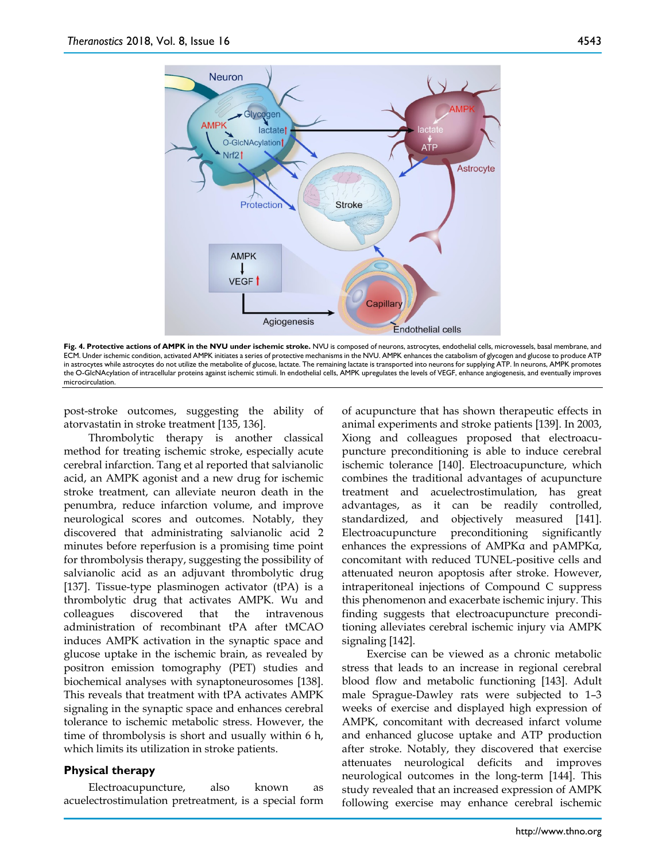

**Fig. 4. Protective actions of AMPK in the NVU under ischemic stroke.** NVU is composed of neurons, astrocytes, endothelial cells, microvessels, basal membrane, and ECM. Under ischemic condition, activated AMPK initiates a series of protective mechanisms in the NVU. AMPK enhances the catabolism of glycogen and glucose to produce ATP in astrocytes while astrocytes do not utilize the metabolite of glucose, lactate. The remaining lactate is transported into neurons for supplying ATP. In neurons, AMPK promotes the O-GlcNAcylation of intracellular proteins against ischemic stimuli. In endothelial cells, AMPK upregulates the levels of VEGF, enhance angiogenesis, and eventually improves microcirculation.

post-stroke outcomes, suggesting the ability of atorvastatin in stroke treatment [135, 136].

Thrombolytic therapy is another classical method for treating ischemic stroke, especially acute cerebral infarction. Tang et al reported that salvianolic acid, an AMPK agonist and a new drug for ischemic stroke treatment, can alleviate neuron death in the penumbra, reduce infarction volume, and improve neurological scores and outcomes. Notably, they discovered that administrating salvianolic acid 2 minutes before reperfusion is a promising time point for thrombolysis therapy, suggesting the possibility of salvianolic acid as an adjuvant thrombolytic drug [137]. Tissue-type plasminogen activator (tPA) is a thrombolytic drug that activates AMPK. Wu and colleagues discovered that the intravenous administration of recombinant tPA after tMCAO induces AMPK activation in the synaptic space and glucose uptake in the ischemic brain, as revealed by positron emission tomography (PET) studies and biochemical analyses with synaptoneurosomes [138]. This reveals that treatment with tPA activates AMPK signaling in the synaptic space and enhances cerebral tolerance to ischemic metabolic stress. However, the time of thrombolysis is short and usually within 6 h, which limits its utilization in stroke patients.

#### **Physical therapy**

Electroacupuncture, also known as acuelectrostimulation pretreatment, is a special form of acupuncture that has shown therapeutic effects in animal experiments and stroke patients [139]. In 2003, Xiong and colleagues proposed that electroacupuncture preconditioning is able to induce cerebral ischemic tolerance [140]. Electroacupuncture, which combines the traditional advantages of acupuncture treatment and acuelectrostimulation, has great advantages, as it can be readily controlled, standardized, and objectively measured [141]. Electroacupuncture preconditioning significantly enhances the expressions of AMPKα and pAMPKα, concomitant with reduced TUNEL-positive cells and attenuated neuron apoptosis after stroke. However, intraperitoneal injections of Compound C suppress this phenomenon and exacerbate ischemic injury. This finding suggests that electroacupuncture preconditioning alleviates cerebral ischemic injury via AMPK signaling [142].

Exercise can be viewed as a chronic metabolic stress that leads to an increase in regional cerebral blood flow and metabolic functioning [143]. Adult male Sprague-Dawley rats were subjected to 1–3 weeks of exercise and displayed high expression of AMPK, concomitant with decreased infarct volume and enhanced glucose uptake and ATP production after stroke. Notably, they discovered that exercise attenuates neurological deficits and improves neurological outcomes in the long-term [144]. This study revealed that an increased expression of AMPK following exercise may enhance cerebral ischemic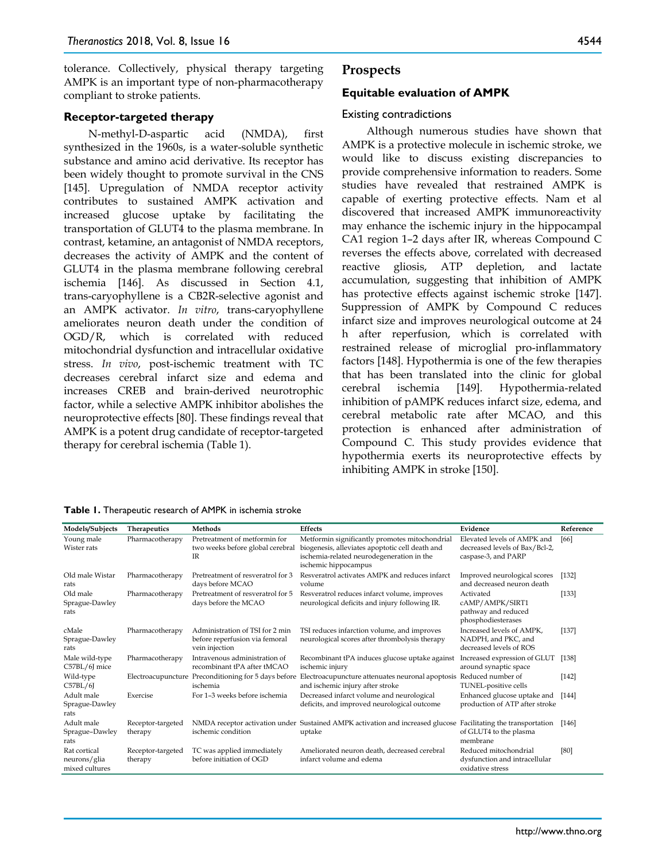tolerance. Collectively, physical therapy targeting AMPK is an important type of non-pharmacotherapy compliant to stroke patients.

#### **Receptor-targeted therapy**

N-methyl-D-aspartic acid (NMDA), first synthesized in the 1960s, is a water-soluble synthetic substance and amino acid derivative. Its receptor has been widely thought to promote survival in the CNS [145]. Upregulation of NMDA receptor activity contributes to sustained AMPK activation and increased glucose uptake by facilitating the transportation of GLUT4 to the plasma membrane. In contrast, ketamine, an antagonist of NMDA receptors, decreases the activity of AMPK and the content of GLUT4 in the plasma membrane following cerebral ischemia [146]. As discussed in Section 4.1, trans-caryophyllene is a CB2R-selective agonist and an AMPK activator. *In vitro*, trans-caryophyllene ameliorates neuron death under the condition of OGD/R, which is correlated with reduced mitochondrial dysfunction and intracellular oxidative stress. *In vivo*, post-ischemic treatment with TC decreases cerebral infarct size and edema and increases CREB and brain-derived neurotrophic factor, while a selective AMPK inhibitor abolishes the neuroprotective effects [80]. These findings reveal that AMPK is a potent drug candidate of receptor-targeted therapy for cerebral ischemia (Table 1).

#### 4544

#### **Prospects**

#### **Equitable evaluation of AMPK**

#### Existing contradictions

Although numerous studies have shown that AMPK is a protective molecule in ischemic stroke, we would like to discuss existing discrepancies to provide comprehensive information to readers. Some studies have revealed that restrained AMPK is capable of exerting protective effects. Nam et al discovered that increased AMPK immunoreactivity may enhance the ischemic injury in the hippocampal CA1 region 1–2 days after IR, whereas Compound C reverses the effects above, correlated with decreased reactive gliosis, ATP depletion, and lactate accumulation, suggesting that inhibition of AMPK has protective effects against ischemic stroke [147]. Suppression of AMPK by Compound C reduces infarct size and improves neurological outcome at 24 h after reperfusion, which is correlated with restrained release of microglial pro-inflammatory factors [148]. Hypothermia is one of the few therapies that has been translated into the clinic for global cerebral ischemia [149]. Hypothermia-related inhibition of pAMPK reduces infarct size, edema, and cerebral metabolic rate after MCAO, and this protection is enhanced after administration of Compound C. This study provides evidence that hypothermia exerts its neuroprotective effects by inhibiting AMPK in stroke [150].

| Table 1. Therapeutic research of AMPK in ischemia stroke |  |  |
|----------------------------------------------------------|--|--|
|----------------------------------------------------------|--|--|

| Models/Subjects                                | Therapeutics                 | Methods                                                                             | <b>Effects</b>                                                                                                                                                         | Evidence                                                                             | Reference |
|------------------------------------------------|------------------------------|-------------------------------------------------------------------------------------|------------------------------------------------------------------------------------------------------------------------------------------------------------------------|--------------------------------------------------------------------------------------|-----------|
| Young male<br>Wister rats                      | Pharmacotherapy              | Pretreatment of metformin for<br>two weeks before global cerebral<br>IR             | Metformin significantly promotes mitochondrial<br>biogenesis, alleviates apoptotic cell death and<br>ischemia-related neurodegeneration in the<br>ischemic hippocampus | Elevated levels of AMPK and<br>decreased levels of Bax/Bcl-2,<br>caspase-3, and PARP | [66]      |
| Old male Wistar<br>rats                        | Pharmacotherapy              | Pretreatment of resveratrol for 3<br>days before MCAO                               | Resveratrol activates AMPK and reduces infarct<br>volume                                                                                                               | Improved neurological scores<br>and decreased neuron death                           | [132]     |
| Old male<br>Sprague-Dawley<br>rats             | Pharmacotherapy              | Pretreatment of resveratrol for 5<br>days before the MCAO                           | Resveratrol reduces infarct volume, improves<br>neurological deficits and injury following IR.                                                                         | Activated<br>cAMP/AMPK/SIRT1<br>pathway and reduced<br>phosphodiesterases            | $[133]$   |
| cMale<br>Sprague-Dawley<br>rats                | Pharmacotherapy              | Administration of TSI for 2 min<br>before reperfusion via femoral<br>vein injection | TSI reduces infarction volume, and improves<br>neurological scores after thrombolysis therapy                                                                          | Increased levels of AMPK.<br>NADPH, and PKC, and<br>decreased levels of ROS          | [137]     |
| Male wild-type<br>C57BL/6J mice                | Pharmacotherapy              | Intravenous administration of<br>recombinant tPA after tMCAO                        | Recombinant tPA induces glucose uptake against<br>ischemic injury                                                                                                      | Increased expression of GLUT<br>around synaptic space                                | [138]     |
| Wild-type<br>C57BL/6J                          |                              | Electroacupuncture Preconditioning for 5 days before<br>ischemia                    | Electroacupuncture attenuates neuronal apoptosis Reduced number of<br>and ischemic injury after stroke                                                                 | TUNEL-positive cells                                                                 | $[142]$   |
| Adult male<br>Sprague-Dawley<br>rats           | Exercise                     | For 1-3 weeks before ischemia                                                       | Decreased infarct volume and neurological<br>deficits, and improved neurological outcome                                                                               | Enhanced glucose uptake and<br>production of ATP after stroke                        | [144]     |
| Adult male<br>Sprague-Dawley<br>rats           | Receptor-targeted<br>therapy | ischemic condition                                                                  | NMDA receptor activation under Sustained AMPK activation and increased glucose Facilitating the transportation<br>uptake                                               | of GLUT4 to the plasma<br>membrane                                                   | $[146]$   |
| Rat cortical<br>neurons/glia<br>mixed cultures | Receptor-targeted<br>therapy | TC was applied immediately<br>before initiation of OGD                              | Ameliorated neuron death, decreased cerebral<br>infarct volume and edema                                                                                               | Reduced mitochondrial<br>dysfunction and intracellular<br>oxidative stress           | [80]      |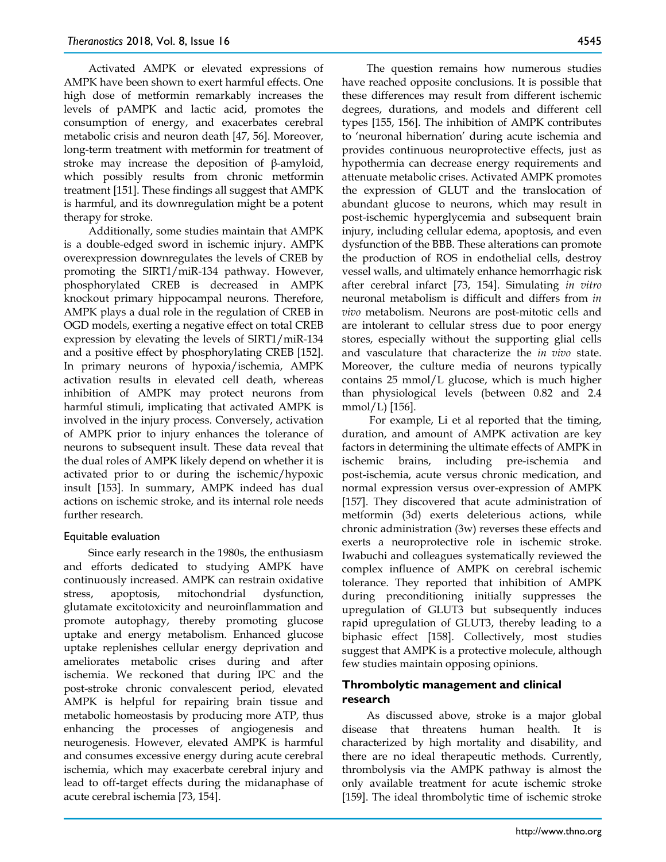Activated AMPK or elevated expressions of AMPK have been shown to exert harmful effects. One high dose of metformin remarkably increases the levels of pAMPK and lactic acid, promotes the consumption of energy, and exacerbates cerebral metabolic crisis and neuron death [47, 56]. Moreover, long-term treatment with metformin for treatment of stroke may increase the deposition of β-amyloid, which possibly results from chronic metformin treatment [151]. These findings all suggest that AMPK is harmful, and its downregulation might be a potent therapy for stroke.

Additionally, some studies maintain that AMPK is a double-edged sword in ischemic injury. AMPK overexpression downregulates the levels of CREB by promoting the SIRT1/miR-134 pathway. However, phosphorylated CREB is decreased in AMPK knockout primary hippocampal neurons. Therefore, AMPK plays a dual role in the regulation of CREB in OGD models, exerting a negative effect on total CREB expression by elevating the levels of SIRT1/miR-134 and a positive effect by phosphorylating CREB [152]. In primary neurons of hypoxia/ischemia, AMPK activation results in elevated cell death, whereas inhibition of AMPK may protect neurons from harmful stimuli, implicating that activated AMPK is involved in the injury process. Conversely, activation of AMPK prior to injury enhances the tolerance of neurons to subsequent insult. These data reveal that the dual roles of AMPK likely depend on whether it is activated prior to or during the ischemic/hypoxic insult [153]. In summary, AMPK indeed has dual actions on ischemic stroke, and its internal role needs further research.

#### Equitable evaluation

Since early research in the 1980s, the enthusiasm and efforts dedicated to studying AMPK have continuously increased. AMPK can restrain oxidative stress, apoptosis, mitochondrial dysfunction, glutamate excitotoxicity and neuroinflammation and promote autophagy, thereby promoting glucose uptake and energy metabolism. Enhanced glucose uptake replenishes cellular energy deprivation and ameliorates metabolic crises during and after ischemia. We reckoned that during IPC and the post-stroke chronic convalescent period, elevated AMPK is helpful for repairing brain tissue and metabolic homeostasis by producing more ATP, thus enhancing the processes of angiogenesis and neurogenesis. However, elevated AMPK is harmful and consumes excessive energy during acute cerebral ischemia, which may exacerbate cerebral injury and lead to off-target effects during the midanaphase of acute cerebral ischemia [73, 154].

The question remains how numerous studies have reached opposite conclusions. It is possible that these differences may result from different ischemic degrees, durations, and models and different cell types [155, 156]. The inhibition of AMPK contributes to 'neuronal hibernation' during acute ischemia and provides continuous neuroprotective effects, just as hypothermia can decrease energy requirements and attenuate metabolic crises. Activated AMPK promotes the expression of GLUT and the translocation of abundant glucose to neurons, which may result in post-ischemic hyperglycemia and subsequent brain injury, including cellular edema, apoptosis, and even dysfunction of the BBB. These alterations can promote the production of ROS in endothelial cells, destroy vessel walls, and ultimately enhance hemorrhagic risk after cerebral infarct [73, 154]. Simulating *in vitro* neuronal metabolism is difficult and differs from *in vivo* metabolism. Neurons are post-mitotic cells and are intolerant to cellular stress due to poor energy stores, especially without the supporting glial cells and vasculature that characterize the *in vivo* state. Moreover, the culture media of neurons typically contains 25 mmol/L glucose, which is much higher than physiological levels (between 0.82 and 2.4 mmol/L) [156].

For example, Li et al reported that the timing, duration, and amount of AMPK activation are key factors in determining the ultimate effects of AMPK in ischemic brains, including pre-ischemia and post-ischemia, acute versus chronic medication, and normal expression versus over-expression of AMPK [157]. They discovered that acute administration of metformin (3d) exerts deleterious actions, while chronic administration (3w) reverses these effects and exerts a neuroprotective role in ischemic stroke. Iwabuchi and colleagues systematically reviewed the complex influence of AMPK on cerebral ischemic tolerance. They reported that inhibition of AMPK during preconditioning initially suppresses the upregulation of GLUT3 but subsequently induces rapid upregulation of GLUT3, thereby leading to a biphasic effect [158]. Collectively, most studies suggest that AMPK is a protective molecule, although few studies maintain opposing opinions.

## **Thrombolytic management and clinical research**

As discussed above, stroke is a major global disease that threatens human health. It is characterized by high mortality and disability, and there are no ideal therapeutic methods. Currently, thrombolysis via the AMPK pathway is almost the only available treatment for acute ischemic stroke [159]. The ideal thrombolytic time of ischemic stroke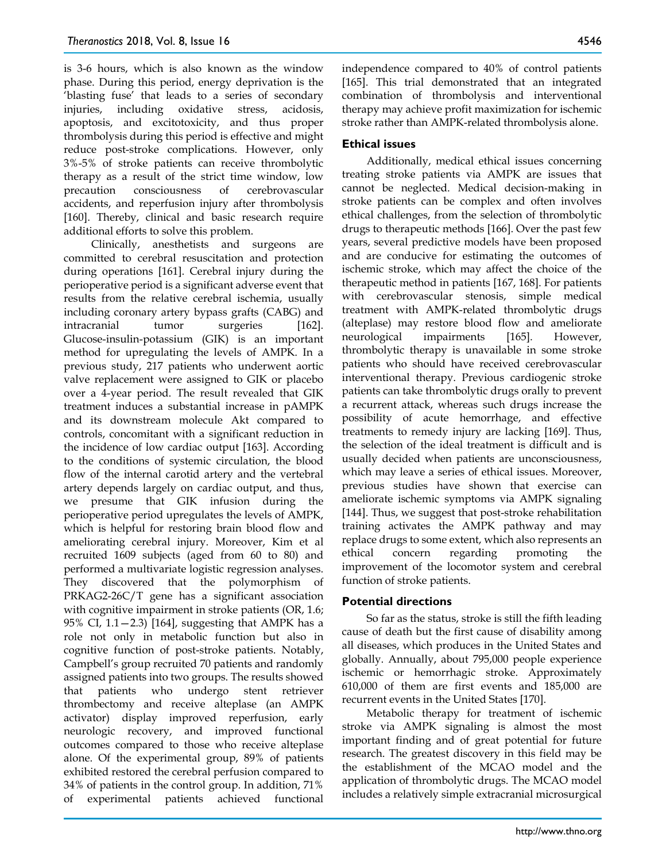is 3-6 hours, which is also known as the window phase. During this period, energy deprivation is the 'blasting fuse' that leads to a series of secondary injuries, including oxidative stress, acidosis, apoptosis, and excitotoxicity, and thus proper thrombolysis during this period is effective and might reduce post-stroke complications. However, only 3%-5% of stroke patients can receive thrombolytic therapy as a result of the strict time window, low precaution consciousness of cerebrovascular accidents, and reperfusion injury after thrombolysis [160]. Thereby, clinical and basic research require additional efforts to solve this problem.

Clinically, anesthetists and surgeons are committed to cerebral resuscitation and protection during operations [161]. Cerebral injury during the perioperative period is a significant adverse event that results from the relative cerebral ischemia, usually including coronary artery bypass grafts (CABG) and intracranial tumor surgeries [162]. Glucose-insulin-potassium (GIK) is an important method for upregulating the levels of AMPK. In a previous study, 217 patients who underwent aortic valve replacement were assigned to GIK or placebo over a 4-year period. The result revealed that GIK treatment induces a substantial increase in pAMPK and its downstream molecule Akt compared to controls, concomitant with a significant reduction in the incidence of low cardiac output [163]. According to the conditions of systemic circulation, the blood flow of the internal carotid artery and the vertebral artery depends largely on cardiac output, and thus, we presume that GIK infusion during the perioperative period upregulates the levels of AMPK, which is helpful for restoring brain blood flow and ameliorating cerebral injury. Moreover, Kim et al recruited 1609 subjects (aged from 60 to 80) and performed a multivariate logistic regression analyses. They discovered that the polymorphism of PRKAG2-26C/T gene has a significant association with cognitive impairment in stroke patients (OR, 1.6; 95% CI, 1.1—2.3) [164], suggesting that AMPK has a role not only in metabolic function but also in cognitive function of post-stroke patients. Notably, Campbell's group recruited 70 patients and randomly assigned patients into two groups. The results showed that patients who undergo stent retriever thrombectomy and receive alteplase (an AMPK activator) display improved reperfusion, early neurologic recovery, and improved functional outcomes compared to those who receive alteplase alone. Of the experimental group, 89% of patients exhibited restored the cerebral perfusion compared to 34% of patients in the control group. In addition, 71% of experimental patients achieved functional

independence compared to 40% of control patients [165]. This trial demonstrated that an integrated combination of thrombolysis and interventional therapy may achieve profit maximization for ischemic stroke rather than AMPK-related thrombolysis alone.

## **Ethical issues**

Additionally, medical ethical issues concerning treating stroke patients via AMPK are issues that cannot be neglected. Medical decision-making in stroke patients can be complex and often involves ethical challenges, from the selection of thrombolytic drugs to therapeutic methods [166]. Over the past few years, several predictive models have been proposed and are conducive for estimating the outcomes of ischemic stroke, which may affect the choice of the therapeutic method in patients [167, 168]. For patients with cerebrovascular stenosis, simple medical treatment with AMPK-related thrombolytic drugs (alteplase) may restore blood flow and ameliorate neurological impairments [165]. However, thrombolytic therapy is unavailable in some stroke patients who should have received cerebrovascular interventional therapy. Previous cardiogenic stroke patients can take thrombolytic drugs orally to prevent a recurrent attack, whereas such drugs increase the possibility of acute hemorrhage, and effective treatments to remedy injury are lacking [169]. Thus, the selection of the ideal treatment is difficult and is usually decided when patients are unconsciousness, which may leave a series of ethical issues. Moreover, previous studies have shown that exercise can ameliorate ischemic symptoms via AMPK signaling [144]. Thus, we suggest that post-stroke rehabilitation training activates the AMPK pathway and may replace drugs to some extent, which also represents an ethical concern regarding promoting the improvement of the locomotor system and cerebral function of stroke patients.

## **Potential directions**

So far as the status, stroke is still the fifth leading cause of death but the first cause of disability among all diseases, which produces in the United States and globally. Annually, about 795,000 people experience ischemic or hemorrhagic stroke. Approximately 610,000 of them are first events and 185,000 are recurrent events in the United States [170].

Metabolic therapy for treatment of ischemic stroke via AMPK signaling is almost the most important finding and of great potential for future research. The greatest discovery in this field may be the establishment of the MCAO model and the application of thrombolytic drugs. The MCAO model includes a relatively simple extracranial microsurgical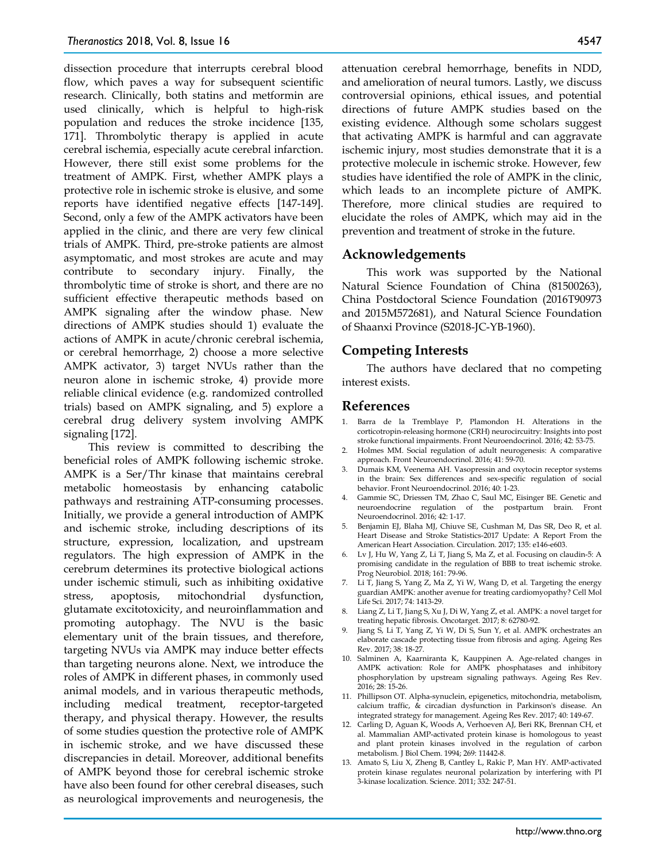dissection procedure that interrupts cerebral blood flow, which paves a way for subsequent scientific research. Clinically, both statins and metformin are used clinically, which is helpful to high-risk population and reduces the stroke incidence [135, 171]. Thrombolytic therapy is applied in acute cerebral ischemia, especially acute cerebral infarction. However, there still exist some problems for the treatment of AMPK. First, whether AMPK plays a protective role in ischemic stroke is elusive, and some reports have identified negative effects [147-149]. Second, only a few of the AMPK activators have been applied in the clinic, and there are very few clinical trials of AMPK. Third, pre-stroke patients are almost asymptomatic, and most strokes are acute and may contribute to secondary injury. Finally, the thrombolytic time of stroke is short, and there are no sufficient effective therapeutic methods based on AMPK signaling after the window phase. New directions of AMPK studies should 1) evaluate the actions of AMPK in acute/chronic cerebral ischemia, or cerebral hemorrhage, 2) choose a more selective AMPK activator, 3) target NVUs rather than the neuron alone in ischemic stroke, 4) provide more reliable clinical evidence (e.g. randomized controlled trials) based on AMPK signaling, and 5) explore a cerebral drug delivery system involving AMPK signaling [172].

This review is committed to describing the beneficial roles of AMPK following ischemic stroke. AMPK is a Ser/Thr kinase that maintains cerebral metabolic homeostasis by enhancing catabolic pathways and restraining ATP-consuming processes. Initially, we provide a general introduction of AMPK and ischemic stroke, including descriptions of its structure, expression, localization, and upstream regulators. The high expression of AMPK in the cerebrum determines its protective biological actions under ischemic stimuli, such as inhibiting oxidative stress, apoptosis, mitochondrial dysfunction, glutamate excitotoxicity, and neuroinflammation and promoting autophagy. The NVU is the basic elementary unit of the brain tissues, and therefore, targeting NVUs via AMPK may induce better effects than targeting neurons alone. Next, we introduce the roles of AMPK in different phases, in commonly used animal models, and in various therapeutic methods, including medical treatment, receptor-targeted therapy, and physical therapy. However, the results of some studies question the protective role of AMPK in ischemic stroke, and we have discussed these discrepancies in detail. Moreover, additional benefits of AMPK beyond those for cerebral ischemic stroke have also been found for other cerebral diseases, such as neurological improvements and neurogenesis, the

attenuation cerebral hemorrhage, benefits in NDD, and amelioration of neural tumors. Lastly, we discuss controversial opinions, ethical issues, and potential directions of future AMPK studies based on the existing evidence. Although some scholars suggest that activating AMPK is harmful and can aggravate ischemic injury, most studies demonstrate that it is a protective molecule in ischemic stroke. However, few studies have identified the role of AMPK in the clinic, which leads to an incomplete picture of AMPK. Therefore, more clinical studies are required to elucidate the roles of AMPK, which may aid in the prevention and treatment of stroke in the future.

## **Acknowledgements**

This work was supported by the National Natural Science Foundation of China (81500263), China Postdoctoral Science Foundation (2016T90973 and 2015M572681), and Natural Science Foundation of Shaanxi Province (S2018-JC-YB-1960).

## **Competing Interests**

The authors have declared that no competing interest exists.

## **References**

- 1. Barra de la Tremblaye P, Plamondon H. Alterations in the corticotropin-releasing hormone (CRH) neurocircuitry: Insights into post stroke functional impairments. Front Neuroendocrinol. 2016; 42: 53-75.
- 2. Holmes MM. Social regulation of adult neurogenesis: A comparative approach. Front Neuroendocrinol. 2016; 41: 59-70.
- 3. Dumais KM, Veenema AH. Vasopressin and oxytocin receptor systems in the brain: Sex differences and sex-specific regulation of social behavior. Front Neuroendocrinol. 2016; 40: 1-23.
- 4. Gammie SC, Driessen TM, Zhao C, Saul MC, Eisinger BE. Genetic and neuroendocrine regulation of the postpartum brain. Front Neuroendocrinol. 2016; 42: 1-17.
- 5. Benjamin EJ, Blaha MJ, Chiuve SE, Cushman M, Das SR, Deo R, et al. Heart Disease and Stroke Statistics-2017 Update: A Report From the American Heart Association. Circulation. 2017; 135: e146-e603.
- 6. Lv J, Hu W, Yang Z, Li T, Jiang S, Ma Z, et al. Focusing on claudin-5: A promising candidate in the regulation of BBB to treat ischemic stroke. Prog Neurobiol. 2018; 161: 79-96.
- 7. Li T, Jiang S, Yang Z, Ma Z, Yi W, Wang D, et al. Targeting the energy guardian AMPK: another avenue for treating cardiomyopathy? Cell Mol Life Sci. 2017; 74: 1413-29.
- 8. Liang Z, Li T, Jiang S, Xu J, Di W, Yang Z, et al. AMPK: a novel target for treating hepatic fibrosis. Oncotarget. 2017; 8: 62780-92.
- 9. Jiang S, Li T, Yang Z, Yi W, Di S, Sun Y, et al. AMPK orchestrates an elaborate cascade protecting tissue from fibrosis and aging. Ageing Res Rev. 2017; 38: 18-27.
- 10. Salminen A, Kaarniranta K, Kauppinen A. Age-related changes in AMPK activation: Role for AMPK phosphatases and inhibitory phosphorylation by upstream signaling pathways. Ageing Res Rev. 2016; 28: 15-26.
- 11. Phillipson OT. Alpha-synuclein, epigenetics, mitochondria, metabolism, calcium traffic, & circadian dysfunction in Parkinson's disease. An integrated strategy for management. Ageing Res Rev. 2017; 40: 149-67.
- 12. Carling D, Aguan K, Woods A, Verhoeven AJ, Beri RK, Brennan CH, et al. Mammalian AMP-activated protein kinase is homologous to yeast and plant protein kinases involved in the regulation of carbon metabolism. J Biol Chem. 1994; 269: 11442-8.
- 13. Amato S, Liu X, Zheng B, Cantley L, Rakic P, Man HY. AMP-activated protein kinase regulates neuronal polarization by interfering with PI 3-kinase localization. Science. 2011; 332: 247-51.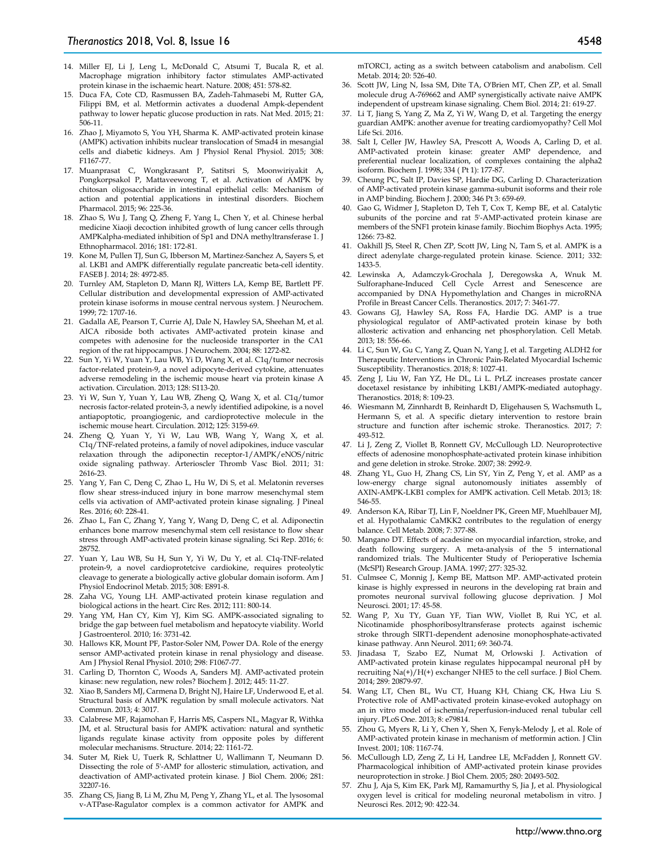- 14. Miller EJ, Li J, Leng L, McDonald C, Atsumi T, Bucala R, et al. Macrophage migration inhibitory factor stimulates AMP-activated protein kinase in the ischaemic heart. Nature. 2008; 451: 578-82.
- 15. Duca FA, Cote CD, Rasmussen BA, Zadeh-Tahmasebi M, Rutter GA, Filippi BM, et al. Metformin activates a duodenal Ampk-dependent pathway to lower hepatic glucose production in rats. Nat Med. 2015; 21: 506-11.
- 16. Zhao J, Miyamoto S, You YH, Sharma K. AMP-activated protein kinase (AMPK) activation inhibits nuclear translocation of Smad4 in mesangial cells and diabetic kidneys. Am J Physiol Renal Physiol. 2015; 308: F1167-77.
- 17. Muanprasat C, Wongkrasant P, Satitsri S, Moonwiriyakit A, Pongkorpsakol P, Mattaveewong T, et al. Activation of AMPK by chitosan oligosaccharide in intestinal epithelial cells: Mechanism of action and potential applications in intestinal disorders. Biochem Pharmacol. 2015; 96: 225-36.
- 18. Zhao S, Wu J, Tang Q, Zheng F, Yang L, Chen Y, et al. Chinese herbal medicine Xiaoji decoction inhibited growth of lung cancer cells through AMPKalpha-mediated inhibition of Sp1 and DNA methyltransferase 1. J Ethnopharmacol. 2016; 181: 172-81.
- 19. Kone M, Pullen TJ, Sun G, Ibberson M, Martinez-Sanchez A, Sayers S, et al. LKB1 and AMPK differentially regulate pancreatic beta-cell identity. FASEB J. 2014; 28: 4972-85.
- 20. Turnley AM, Stapleton D, Mann RJ, Witters LA, Kemp BE, Bartlett PF. Cellular distribution and developmental expression of AMP-activated protein kinase isoforms in mouse central nervous system. J Neurochem. 1999; 72: 1707-16.
- 21. Gadalla AE, Pearson T, Currie AJ, Dale N, Hawley SA, Sheehan M, et al. AICA riboside both activates AMP-activated protein kinase and competes with adenosine for the nucleoside transporter in the CA1 region of the rat hippocampus. J Neurochem. 2004; 88: 1272-82.
- 22. Sun Y, Yi W, Yuan Y, Lau WB, Yi D, Wang X, et al. C1q/tumor necrosis factor-related protein-9, a novel adipocyte-derived cytokine, attenuates adverse remodeling in the ischemic mouse heart via protein kinase A activation. Circulation. 2013; 128: S113-20.
- 23. Yi W, Sun Y, Yuan Y, Lau WB, Zheng Q, Wang X, et al. C1q/tumor necrosis factor-related protein-3, a newly identified adipokine, is a novel antiapoptotic, proangiogenic, and cardioprotective molecule in the ischemic mouse heart. Circulation. 2012; 125: 3159-69.
- 24. Zheng Q, Yuan Y, Yi W, Lau WB, Wang Y, Wang X, et al. C1q/TNF-related proteins, a family of novel adipokines, induce vascular relaxation through the adiponectin receptor-1/AMPK/eNOS/nitric oxide signaling pathway. Arterioscler Thromb Vasc Biol. 2011; 31: 2616-23.
- 25. Yang Y, Fan C, Deng C, Zhao L, Hu W, Di S, et al. Melatonin reverses flow shear stress-induced injury in bone marrow mesenchymal stem cells via activation of AMP-activated protein kinase signaling. J Pineal Res. 2016; 60: 228-41.
- 26. Zhao L, Fan C, Zhang Y, Yang Y, Wang D, Deng C, et al. Adiponectin enhances bone marrow mesenchymal stem cell resistance to flow shear stress through AMP-activated protein kinase signaling. Sci Rep. 2016; 6: 28752.
- 27. Yuan Y, Lau WB, Su H, Sun Y, Yi W, Du Y, et al. C1q-TNF-related protein-9, a novel cardioprotetcive cardiokine, requires proteolytic cleavage to generate a biologically active globular domain isoform. Am J Physiol Endocrinol Metab. 2015; 308: E891-8.
- 28. Zaha VG, Young LH. AMP-activated protein kinase regulation and biological actions in the heart. Circ Res. 2012; 111: 800-14.
- 29. Yang YM, Han CY, Kim YJ, Kim SG. AMPK-associated signaling to bridge the gap between fuel metabolism and hepatocyte viability. World J Gastroenterol. 2010; 16: 3731-42.
- 30. Hallows KR, Mount PF, Pastor-Soler NM, Power DA. Role of the energy sensor AMP-activated protein kinase in renal physiology and disease. Am J Physiol Renal Physiol. 2010; 298: F1067-77.
- 31. Carling D, Thornton C, Woods A, Sanders MJ. AMP-activated protein kinase: new regulation, new roles? Biochem J. 2012; 445: 11-27.
- 32. Xiao B, Sanders MJ, Carmena D, Bright NJ, Haire LF, Underwood E, et al. Structural basis of AMPK regulation by small molecule activators. Nat Commun. 2013; 4: 3017.
- 33. Calabrese MF, Rajamohan F, Harris MS, Caspers NL, Magyar R, Withka JM, et al. Structural basis for AMPK activation: natural and synthetic ligands regulate kinase activity from opposite poles by different molecular mechanisms. Structure. 2014; 22: 1161-72.
- 34. Suter M, Riek U, Tuerk R, Schlattner U, Wallimann T, Neumann D. Dissecting the role of 5'-AMP for allosteric stimulation, activation, and deactivation of AMP-activated protein kinase. J Biol Chem. 2006; 281: 32207-16.
- 35. Zhang CS, Jiang B, Li M, Zhu M, Peng Y, Zhang YL, et al. The lysosomal v-ATPase-Ragulator complex is a common activator for AMPK and

mTORC1, acting as a switch between catabolism and anabolism. Cell Metab. 2014; 20: 526-40.

- 36. Scott JW, Ling N, Issa SM, Dite TA, O'Brien MT, Chen ZP, et al. Small molecule drug A-769662 and AMP synergistically activate naive AMPK independent of upstream kinase signaling. Chem Biol. 2014; 21: 619-27.
- 37. Li T, Jiang S, Yang Z, Ma Z, Yi W, Wang D, et al. Targeting the energy guardian AMPK: another avenue for treating cardiomyopathy? Cell Mol Life Sci. 2016.
- 38. Salt I, Celler JW, Hawley SA, Prescott A, Woods A, Carling D, et al. AMP-activated protein kinase: greater AMP dependence, and preferential nuclear localization, of complexes containing the alpha2 isoform. Biochem J. 1998; 334 ( Pt 1): 177-87.
- 39. Cheung PC, Salt IP, Davies SP, Hardie DG, Carling D. Characterization of AMP-activated protein kinase gamma-subunit isoforms and their role in AMP binding. Biochem J. 2000; 346 Pt 3: 659-69.
- 40. Gao G, Widmer J, Stapleton D, Teh T, Cox T, Kemp BE, et al. Catalytic subunits of the porcine and rat 5'-AMP-activated protein kinase are members of the SNF1 protein kinase family. Biochim Biophys Acta. 1995; 1266: 73-82.
- 41. Oakhill JS, Steel R, Chen ZP, Scott JW, Ling N, Tam S, et al. AMPK is a direct adenylate charge-regulated protein kinase. Science. 2011; 332: 1433-5.
- 42. Lewinska A, Adamczyk-Grochala J, Deregowska A, Wnuk M. Sulforaphane-Induced Cell Cycle Arrest and Senescence are accompanied by DNA Hypomethylation and Changes in microRNA Profile in Breast Cancer Cells. Theranostics. 2017; 7: 3461-77.
- 43. Gowans GJ, Hawley SA, Ross FA, Hardie DG. AMP is a true physiological regulator of AMP-activated protein kinase by both allosteric activation and enhancing net phosphorylation. Cell Metab. 2013; 18: 556-66.
- 44. Li C, Sun W, Gu C, Yang Z, Quan N, Yang J, et al. Targeting ALDH2 for Therapeutic Interventions in Chronic Pain-Related Myocardial Ischemic Susceptibility. Theranostics. 2018; 8: 1027-41.
- 45. Zeng J, Liu W, Fan YZ, He DL, Li L. PrLZ increases prostate cancer docetaxel resistance by inhibiting LKB1/AMPK-mediated autophagy. Theranostics. 2018; 8: 109-23.
- 46. Wiesmann M, Zinnhardt B, Reinhardt D, Eligehausen S, Wachsmuth L, Hermann S, et al. A specific dietary intervention to restore brain structure and function after ischemic stroke. Theranostics. 2017; 7: 493-512.
- 47. Li J, Zeng Z, Viollet B, Ronnett GV, McCullough LD. Neuroprotective effects of adenosine monophosphate-activated protein kinase inhibition and gene deletion in stroke. Stroke. 2007; 38: 2992-9.
- 48. Zhang YL, Guo H, Zhang CS, Lin SY, Yin Z, Peng Y, et al. AMP as a low-energy charge signal autonomously initiates assembly of AXIN-AMPK-LKB1 complex for AMPK activation. Cell Metab. 2013; 18: 546-55.
- 49. Anderson KA, Ribar TJ, Lin F, Noeldner PK, Green MF, Muehlbauer MJ, et al. Hypothalamic CaMKK2 contributes to the regulation of energy balance. Cell Metab. 2008; 7: 377-88.
- 50. Mangano DT. Effects of acadesine on myocardial infarction, stroke, and death following surgery. A meta-analysis of the 5 international randomized trials. The Multicenter Study of Perioperative Ischemia (McSPI) Research Group. JAMA. 1997; 277: 325-32.
- 51. Culmsee C, Monnig J, Kemp BE, Mattson MP. AMP-activated protein kinase is highly expressed in neurons in the developing rat brain and promotes neuronal survival following glucose deprivation. J Mol Neurosci. 2001; 17: 45-58.
- 52. Wang P, Xu TY, Guan YF, Tian WW, Viollet B, Rui YC, et al. Nicotinamide phosphoribosyltransferase protects against ischemic stroke through SIRT1-dependent adenosine monophosphate-activated kinase pathway. Ann Neurol. 2011; 69: 360-74.
- 53. Jinadasa T, Szabo EZ, Numat M, Orlowski J. Activation of AMP-activated protein kinase regulates hippocampal neuronal pH by recruiting Na(+)/H(+) exchanger NHE5 to the cell surface. J Biol Chem. 2014; 289: 20879-97.
- 54. Wang LT, Chen BL, Wu CT, Huang KH, Chiang CK, Hwa Liu S. Protective role of AMP-activated protein kinase-evoked autophagy on an in vitro model of ischemia/reperfusion-induced renal tubular cell injury. PLoS One. 2013; 8: e79814.
- 55. Zhou G, Myers R, Li Y, Chen Y, Shen X, Fenyk-Melody J, et al. Role of AMP-activated protein kinase in mechanism of metformin action. J Clin Invest. 2001; 108: 1167-74.
- 56. McCullough LD, Zeng Z, Li H, Landree LE, McFadden J, Ronnett GV. Pharmacological inhibition of AMP-activated protein kinase provides neuroprotection in stroke. J Biol Chem. 2005; 280: 20493-502.
- 57. Zhu J, Aja S, Kim EK, Park MJ, Ramamurthy S, Jia J, et al. Physiological oxygen level is critical for modeling neuronal metabolism in vitro. J Neurosci Res. 2012; 90: 422-34.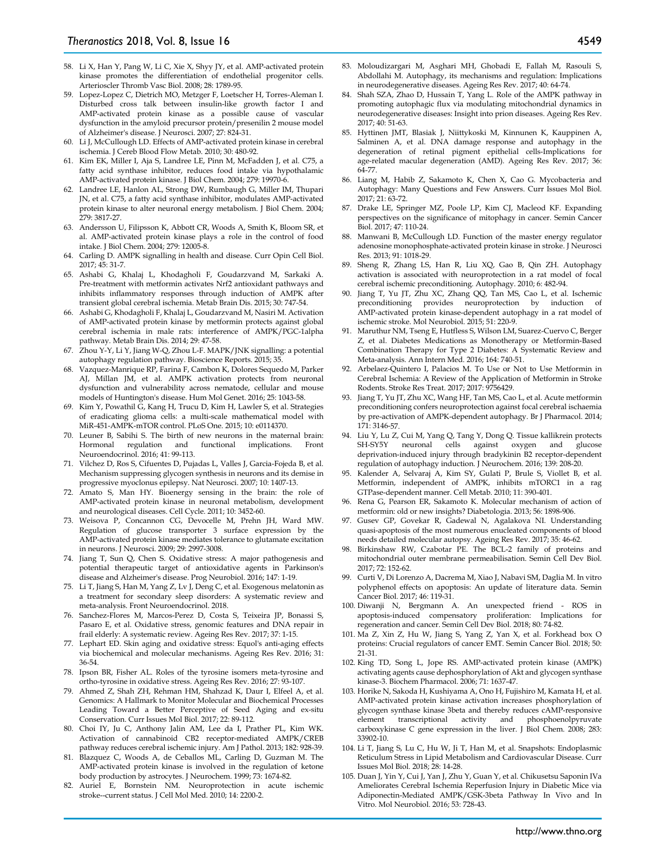- 58. Li X, Han Y, Pang W, Li C, Xie X, Shyy JY, et al. AMP-activated protein kinase promotes the differentiation of endothelial progenitor cells. Arterioscler Thromb Vasc Biol. 2008; 28: 1789-95.
- 59. Lopez-Lopez C, Dietrich MO, Metzger F, Loetscher H, Torres-Aleman I. Disturbed cross talk between insulin-like growth factor I and AMP-activated protein kinase as a possible cause of vascular dysfunction in the amyloid precursor protein/presenilin 2 mouse model of Alzheimer's disease. J Neurosci. 2007; 27: 824-31.
- 60. Li J, McCullough LD. Effects of AMP-activated protein kinase in cerebral ischemia. J Cereb Blood Flow Metab. 2010; 30: 480-92.
- 61. Kim EK, Miller I, Aja S, Landree LE, Pinn M, McFadden J, et al. C75, a fatty acid synthase inhibitor, reduces food intake via hypothalamic AMP-activated protein kinase. J Biol Chem. 2004; 279: 19970-6.
- 62. Landree LE, Hanlon AL, Strong DW, Rumbaugh G, Miller IM, Thupari JN, et al. C75, a fatty acid synthase inhibitor, modulates AMP-activated protein kinase to alter neuronal energy metabolism. J Biol Chem. 2004; 279: 3817-27.
- 63. Andersson U, Filipsson K, Abbott CR, Woods A, Smith K, Bloom SR, et al. AMP-activated protein kinase plays a role in the control of food intake. J Biol Chem. 2004; 279: 12005-8.
- 64. Carling D. AMPK signalling in health and disease. Curr Opin Cell Biol. 2017; 45: 31-7.
- 65. Ashabi G, Khalaj L, Khodagholi F, Goudarzvand M, Sarkaki A. Pre-treatment with metformin activates Nrf2 antioxidant pathways and inhibits inflammatory responses through induction of AMPK after transient global cerebral ischemia. Metab Brain Dis. 2015; 30: 747-54.
- 66. Ashabi G, Khodagholi F, Khalaj L, Goudarzvand M, Nasiri M. Activation of AMP-activated protein kinase by metformin protects against global cerebral ischemia in male rats: interference of AMPK/PGC-1alpha pathway. Metab Brain Dis. 2014; 29: 47-58.
- 67. Zhou Y-Y, Li Y, Jiang W-Q, Zhou L-F. MAPK/JNK signalling: a potential autophagy regulation pathway. Bioscience Reports. 2015; 35.
- 68. Vazquez-Manrique RP, Farina F, Cambon K, Dolores Sequedo M, Parker AJ, Millan JM, et al. AMPK activation protects from neuronal dysfunction and vulnerability across nematode, cellular and mouse models of Huntington's disease. Hum Mol Genet. 2016; 25: 1043-58.
- 69. Kim Y, Powathil G, Kang H, Trucu D, Kim H, Lawler S, et al. Strategies of eradicating glioma cells: a multi-scale mathematical model with MiR-451-AMPK-mTOR control. PLoS One. 2015; 10: e0114370.
- 70. Leuner B, Sabihi S. The birth of new neurons in the maternal brain: Hormonal regulation and functional implications. Front Neuroendocrinol. 2016; 41: 99-113.
- 71. Vilchez D, Ros S, Cifuentes D, Pujadas L, Valles J, Garcia-Fojeda B, et al. Mechanism suppressing glycogen synthesis in neurons and its demise in progressive myoclonus epilepsy. Nat Neurosci. 2007; 10: 1407-13.
- 72. Amato S, Man HY. Bioenergy sensing in the brain: the role of AMP-activated protein kinase in neuronal metabolism, development and neurological diseases. Cell Cycle. 2011; 10: 3452-60.
- 73. Weisova P, Concannon CG, Devocelle M, Prehn JH, Ward MW. Regulation of glucose transporter 3 surface expression by the AMP-activated protein kinase mediates tolerance to glutamate excitation in neurons. J Neurosci. 2009; 29: 2997-3008.
- 74. Jiang T, Sun Q, Chen S. Oxidative stress: A major pathogenesis and potential therapeutic target of antioxidative agents in Parkinson's disease and Alzheimer's disease. Prog Neurobiol. 2016; 147: 1-19.
- 75. Li T, Jiang S, Han M, Yang Z, Lv J, Deng C, et al. Exogenous melatonin as a treatment for secondary sleep disorders: A systematic review and meta-analysis. Front Neuroendocrinol. 2018.
- 76. Sanchez-Flores M, Marcos-Perez D, Costa S, Teixeira JP, Bonassi S, Pasaro E, et al. Oxidative stress, genomic features and DNA repair in frail elderly: A systematic review. Ageing Res Rev. 2017; 37: 1-15.
- 77. Lephart ED. Skin aging and oxidative stress: Equol's anti-aging effects via biochemical and molecular mechanisms. Ageing Res Rev. 2016; 31: 36-54.
- 78. Ipson BR, Fisher AL. Roles of the tyrosine isomers meta-tyrosine and ortho-tyrosine in oxidative stress. Ageing Res Rev. 2016; 27: 93-107.
- 79. Ahmed Z, Shah ZH, Rehman HM, Shahzad K, Daur I, Elfeel A, et al. Genomics: A Hallmark to Monitor Molecular and Biochemical Processes Leading Toward a Better Perceptive of Seed Aging and ex-situ Conservation. Curr Issues Mol Biol. 2017; 22: 89-112.
- 80. Choi IY, Ju C, Anthony Jalin AM, Lee da I, Prather PL, Kim WK. Activation of cannabinoid CB2 receptor-mediated AMPK/CREB pathway reduces cerebral ischemic injury. Am J Pathol. 2013; 182: 928-39.
- 81. Blazquez C, Woods A, de Ceballos ML, Carling D, Guzman M. The AMP-activated protein kinase is involved in the regulation of ketone body production by astrocytes. J Neurochem. 1999; 73: 1674-82.
- 82. Auriel E, Bornstein NM. Neuroprotection in acute ischemic stroke--current status. J Cell Mol Med. 2010; 14: 2200-2.
- 83. Moloudizargari M, Asghari MH, Ghobadi E, Fallah M, Rasouli S, Abdollahi M. Autophagy, its mechanisms and regulation: Implications in neurodegenerative diseases. Ageing Res Rev. 2017; 40: 64-74.
- 84. Shah SZA, Zhao D, Hussain T, Yang L. Role of the AMPK pathway in promoting autophagic flux via modulating mitochondrial dynamics in neurodegenerative diseases: Insight into prion diseases. Ageing Res Rev. 2017; 40: 51-63.
- 85. Hyttinen JMT, Blasiak J, Niittykoski M, Kinnunen K, Kauppinen A, Salminen A, et al. DNA damage response and autophagy in the degeneration of retinal pigment epithelial cells-Implications for age-related macular degeneration (AMD). Ageing Res Rev. 2017; 36: 64-77.
- 86. Liang M, Habib Z, Sakamoto K, Chen X, Cao G. Mycobacteria and Autophagy: Many Questions and Few Answers. Curr Issues Mol Biol. 2017; 21: 63-72.
- 87. Drake LE, Springer MZ, Poole LP, Kim CJ, Macleod KF. Expanding perspectives on the significance of mitophagy in cancer. Semin Cancer Biol. 2017; 47: 110-24.
- 88. Manwani B, McCullough LD. Function of the master energy regulator adenosine monophosphate-activated protein kinase in stroke. J Neurosci Res. 2013; 91: 1018-29.
- 89. Sheng R, Zhang LS, Han R, Liu XQ, Gao B, Qin ZH. Autophagy activation is associated with neuroprotection in a rat model of focal cerebral ischemic preconditioning. Autophagy. 2010; 6: 482-94.
- 90. Jiang T, Yu JT, Zhu XC, Zhang QQ, Tan MS, Cao L, et al. Ischemic preconditioning provides neuroprotection by induction of AMP-activated protein kinase-dependent autophagy in a rat model of ischemic stroke. Mol Neurobiol. 2015; 51: 220-9.
- 91. Maruthur NM, Tseng E, Hutfless S, Wilson LM, Suarez-Cuervo C, Berger Z, et al. Diabetes Medications as Monotherapy or Metformin-Based Combination Therapy for Type 2 Diabetes: A Systematic Review and Meta-analysis. Ann Intern Med. 2016; 164: 740-51.
- 92. Arbelaez-Quintero I, Palacios M. To Use or Not to Use Metformin in Cerebral Ischemia: A Review of the Application of Metformin in Stroke Rodents. Stroke Res Treat. 2017; 2017: 9756429.
- 93. Jiang T, Yu JT, Zhu XC, Wang HF, Tan MS, Cao L, et al. Acute metformin preconditioning confers neuroprotection against focal cerebral ischaemia by pre-activation of AMPK-dependent autophagy. Br J Pharmacol. 2014; 171: 3146-57.
- 94. Liu Y, Lu Z, Cui M, Yang Q, Tang Y, Dong Q. Tissue kallikrein protects SH-SY5Y neuronal cells against oxygen and glucose SH-SY5Y neuronal cells against oxygen and glucose deprivation-induced injury through bradykinin B2 receptor-dependent regulation of autophagy induction. J Neurochem. 2016; 139: 208-20.
- 95. Kalender A, Selvaraj A, Kim SY, Gulati P, Brule S, Viollet B, et al. Metformin, independent of AMPK, inhibits mTORC1 in a rag GTPase-dependent manner. Cell Metab. 2010; 11: 390-401.
- 96. Rena G, Pearson ER, Sakamoto K. Molecular mechanism of action of metformin: old or new insights? Diabetologia. 2013; 56: 1898-906.
- 97. Gusev GP, Govekar R, Gadewal N, Agalakova NI. Understanding quasi-apoptosis of the most numerous enucleated components of blood needs detailed molecular autopsy. Ageing Res Rev. 2017; 35: 46-62.
- 98. Birkinshaw RW, Czabotar PE. The BCL-2 family of proteins and mitochondrial outer membrane permeabilisation. Semin Cell Dev Biol. 2017; 72: 152-62.
- 99. Curti V, Di Lorenzo A, Dacrema M, Xiao J, Nabavi SM, Daglia M. In vitro polyphenol effects on apoptosis: An update of literature data. Semin Cancer Biol. 2017; 46: 119-31.
- 100. Diwanji N, Bergmann A. An unexpected friend ROS in apoptosis-induced compensatory proliferation: Implications for regeneration and cancer. Semin Cell Dev Biol. 2018; 80: 74-82.
- 101. Ma Z, Xin Z, Hu W, Jiang S, Yang Z, Yan X, et al. Forkhead box O proteins: Crucial regulators of cancer EMT. Semin Cancer Biol. 2018; 50: 21-31.
- 102. King TD, Song L, Jope RS. AMP-activated protein kinase (AMPK) activating agents cause dephosphorylation of Akt and glycogen synthase kinase-3. Biochem Pharmacol. 2006; 71: 1637-47.
- 103. Horike N, Sakoda H, Kushiyama A, Ono H, Fujishiro M, Kamata H, et al. AMP-activated protein kinase activation increases phosphorylation of glycogen synthase kinase 3beta and thereby reduces cAMP-responsive element transcriptional activity and phosphoenolpyruvate carboxykinase C gene expression in the liver. J Biol Chem. 2008; 283: 33902-10.
- 104. Li T, Jiang S, Lu C, Hu W, Ji T, Han M, et al. Snapshots: Endoplasmic Reticulum Stress in Lipid Metabolism and Cardiovascular Disease. Curr Issues Mol Biol. 2018; 28: 14-28.
- 105. Duan J, Yin Y, Cui J, Yan J, Zhu Y, Guan Y, et al. Chikusetsu Saponin IVa Ameliorates Cerebral Ischemia Reperfusion Injury in Diabetic Mice via Adiponectin-Mediated AMPK/GSK-3beta Pathway In Vivo and In Vitro. Mol Neurobiol. 2016; 53: 728-43.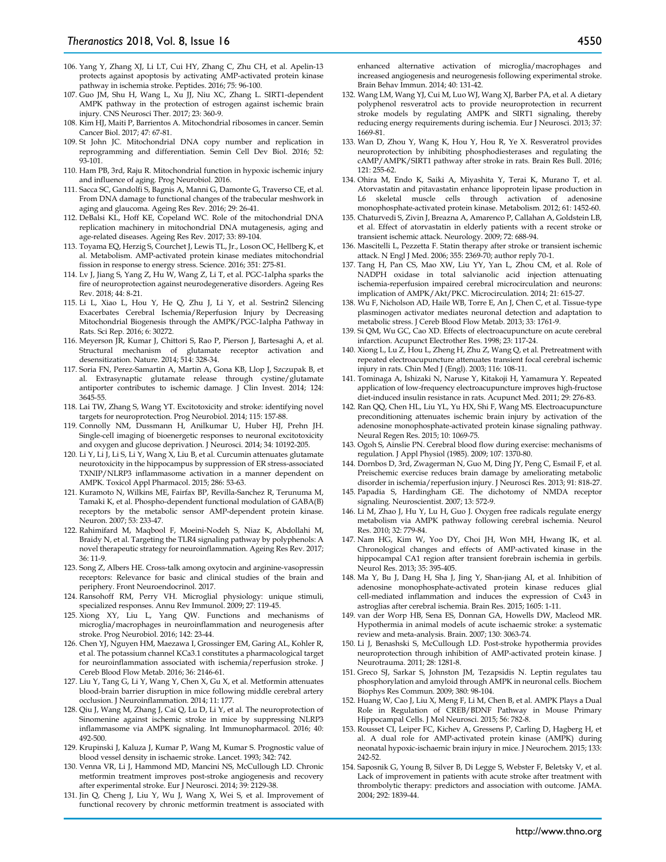- 106. Yang Y, Zhang XJ, Li LT, Cui HY, Zhang C, Zhu CH, et al. Apelin-13 protects against apoptosis by activating AMP-activated protein kinase pathway in ischemia stroke. Peptides. 2016; 75: 96-100.
- 107. Guo JM, Shu H, Wang L, Xu JJ, Niu XC, Zhang L. SIRT1-dependent AMPK pathway in the protection of estrogen against ischemic brain injury. CNS Neurosci Ther. 2017; 23: 360-9.
- 108. Kim HJ, Maiti P, Barrientos A. Mitochondrial ribosomes in cancer. Semin Cancer Biol. 2017; 47: 67-81.
- 109. St John JC. Mitochondrial DNA copy number and replication in reprogramming and differentiation. Semin Cell Dev Biol. 2016; 52: 93-101.
- 110. Ham PB, 3rd, Raju R. Mitochondrial function in hypoxic ischemic injury and influence of aging. Prog Neurobiol. 2016.
- 111. Sacca SC, Gandolfi S, Bagnis A, Manni G, Damonte G, Traverso CE, et al. From DNA damage to functional changes of the trabecular meshwork in aging and glaucoma. Ageing Res Rev. 2016; 29: 26-41.
- 112. DeBalsi KL, Hoff KE, Copeland WC. Role of the mitochondrial DNA replication machinery in mitochondrial DNA mutagenesis, aging and age-related diseases. Ageing Res Rev. 2017; 33: 89-104.
- 113. Toyama EQ, Herzig S, Courchet J, Lewis TL, Jr., Loson OC, Hellberg K, et al. Metabolism. AMP-activated protein kinase mediates mitochondrial fission in response to energy stress. Science. 2016; 351: 275-81.
- 114. Lv J, Jiang S, Yang Z, Hu W, Wang Z, Li T, et al. PGC-1alpha sparks the fire of neuroprotection against neurodegenerative disorders. Ageing Res Rev. 2018; 44: 8-21.
- 115. Li L, Xiao L, Hou Y, He Q, Zhu J, Li Y, et al. Sestrin2 Silencing Exacerbates Cerebral Ischemia/Reperfusion Injury by Decreasing Mitochondrial Biogenesis through the AMPK/PGC-1alpha Pathway in Rats. Sci Rep. 2016; 6: 30272.
- 116. Meyerson JR, Kumar J, Chittori S, Rao P, Pierson J, Bartesaghi A, et al. Structural mechanism of glutamate receptor activation and desensitization. Nature. 2014; 514: 328-34.
- 117. Soria FN, Perez-Samartin A, Martin A, Gona KB, Llop J, Szczupak B, et al. Extrasynaptic glutamate release through cystine/glutamate antiporter contributes to ischemic damage. J Clin Invest. 2014; 124: 3645-55.
- 118. Lai TW, Zhang S, Wang YT. Excitotoxicity and stroke: identifying novel targets for neuroprotection. Prog Neurobiol. 2014; 115: 157-88.
- 119. Connolly NM, Dussmann H, Anilkumar U, Huber HJ, Prehn JH. Single-cell imaging of bioenergetic responses to neuronal excitotoxicity and oxygen and glucose deprivation. J Neurosci. 2014; 34: 10192-205.
- 120. Li Y, Li J, Li S, Li Y, Wang X, Liu B, et al. Curcumin attenuates glutamate neurotoxicity in the hippocampus by suppression of ER stress-associated TXNIP/NLRP3 inflammasome activation in a manner dependent on AMPK. Toxicol Appl Pharmacol. 2015; 286: 53-63.
- 121. Kuramoto N, Wilkins ME, Fairfax BP, Revilla-Sanchez R, Terunuma M, Tamaki K, et al. Phospho-dependent functional modulation of GABA(B) receptors by the metabolic sensor AMP-dependent protein kinase. Neuron. 2007; 53: 233-47.
- 122. Rahimifard M, Maqbool F, Moeini-Nodeh S, Niaz K, Abdollahi M, Braidy N, et al. Targeting the TLR4 signaling pathway by polyphenols: A novel therapeutic strategy for neuroinflammation. Ageing Res Rev. 2017; 36: 11-9.
- 123. Song Z, Albers HE. Cross-talk among oxytocin and arginine-vasopressin receptors: Relevance for basic and clinical studies of the brain and periphery. Front Neuroendocrinol. 2017.
- 124. Ransohoff RM, Perry VH. Microglial physiology: unique stimuli, specialized responses. Annu Rev Immunol. 2009; 27: 119-45.
- 125. Xiong XY, Liu L, Yang QW. Functions and mechanisms of microglia/macrophages in neuroinflammation and neurogenesis after stroke. Prog Neurobiol. 2016; 142: 23-44.
- 126. Chen YJ, Nguyen HM, Maezawa I, Grossinger EM, Garing AL, Kohler R, et al. The potassium channel KCa3.1 constitutes a pharmacological target for neuroinflammation associated with ischemia/reperfusion stroke. J Cereb Blood Flow Metab. 2016; 36: 2146-61.
- 127. Liu Y, Tang G, Li Y, Wang Y, Chen X, Gu X, et al. Metformin attenuates blood-brain barrier disruption in mice following middle cerebral artery occlusion. J Neuroinflammation. 2014; 11: 177.
- 128. Qiu J, Wang M, Zhang J, Cai Q, Lu D, Li Y, et al. The neuroprotection of Sinomenine against ischemic stroke in mice by suppressing NLRP3 inflammasome via AMPK signaling. Int Immunopharmacol. 2016; 40: 492-500.
- 129. Krupinski J, Kaluza J, Kumar P, Wang M, Kumar S. Prognostic value of blood vessel density in ischaemic stroke. Lancet. 1993; 342: 742.
- 130. Venna VR, Li J, Hammond MD, Mancini NS, McCullough LD. Chronic metformin treatment improves post-stroke angiogenesis and recovery after experimental stroke. Eur J Neurosci. 2014; 39: 2129-38.
- 131. Jin Q, Cheng J, Liu Y, Wu J, Wang X, Wei S, et al. Improvement of functional recovery by chronic metformin treatment is associated with

enhanced alternative activation of microglia/macrophages and increased angiogenesis and neurogenesis following experimental stroke. Brain Behav Immun. 2014; 40: 131-42.

- 132. Wang LM, Wang YJ, Cui M, Luo WJ, Wang XJ, Barber PA, et al. A dietary polyphenol resveratrol acts to provide neuroprotection in recurrent stroke models by regulating AMPK and SIRT1 signaling, thereby reducing energy requirements during ischemia. Eur J Neurosci. 2013; 37: 1669-81.
- 133. Wan D, Zhou Y, Wang K, Hou Y, Hou R, Ye X. Resveratrol provides neuroprotection by inhibiting phosphodiesterases and regulating the cAMP/AMPK/SIRT1 pathway after stroke in rats. Brain Res Bull. 2016; 121: 255-62.
- 134. Ohira M, Endo K, Saiki A, Miyashita Y, Terai K, Murano T, et al. Atorvastatin and pitavastatin enhance lipoprotein lipase production in L6 skeletal muscle cells through activation of adenosine monophosphate-activated protein kinase. Metabolism. 2012; 61: 1452-60.
- 135. Chaturvedi S, Zivin J, Breazna A, Amarenco P, Callahan A, Goldstein LB, et al. Effect of atorvastatin in elderly patients with a recent stroke or transient ischemic attack. Neurology. 2009; 72: 688-94.
- 136. Mascitelli L, Pezzetta F. Statin therapy after stroke or transient ischemic attack. N Engl J Med. 2006; 355: 2369-70; author reply 70-1.
- 137. Tang H, Pan CS, Mao XW, Liu YY, Yan L, Zhou CM, et al. Role of NADPH oxidase in total salvianolic acid injection attenuating ischemia-reperfusion impaired cerebral microcirculation and neurons: implication of AMPK/Akt/PKC. Microcirculation. 2014; 21: 615-27.
- 138. Wu F, Nicholson AD, Haile WB, Torre E, An J, Chen C, et al. Tissue-type plasminogen activator mediates neuronal detection and adaptation to metabolic stress. J Cereb Blood Flow Metab. 2013; 33: 1761-9.
- 139. Si QM, Wu GC, Cao XD. Effects of electroacupuncture on acute cerebral infarction. Acupunct Electrother Res. 1998; 23: 117-24.
- 140. Xiong L, Lu Z, Hou L, Zheng H, Zhu Z, Wang Q, et al. Pretreatment with repeated electroacupuncture attenuates transient focal cerebral ischemic injury in rats. Chin Med J (Engl). 2003; 116: 108-11.
- 141. Tominaga A, Ishizaki N, Naruse Y, Kitakoji H, Yamamura Y. Repeated application of low-frequency electroacupuncture improves high-fructose diet-induced insulin resistance in rats. Acupunct Med. 2011; 29: 276-83.
- 142. Ran QQ, Chen HL, Liu YL, Yu HX, Shi F, Wang MS. Electroacupuncture preconditioning attenuates ischemic brain injury by activation of the adenosine monophosphate-activated protein kinase signaling pathway. Neural Regen Res. 2015; 10: 1069-75.
- 143. Ogoh S, Ainslie PN. Cerebral blood flow during exercise: mechanisms of regulation. J Appl Physiol (1985). 2009; 107: 1370-80.
- 144. Dornbos D, 3rd, Zwagerman N, Guo M, Ding JY, Peng C, Esmail F, et al. Preischemic exercise reduces brain damage by ameliorating metabolic disorder in ischemia/reperfusion injury. J Neurosci Res. 2013; 91: 818-27.
- 145. Papadia S, Hardingham GE. The dichotomy of NMDA receptor signaling. Neuroscientist. 2007; 13: 572-9.
- 146. Li M, Zhao J, Hu Y, Lu H, Guo J. Oxygen free radicals regulate energy metabolism via AMPK pathway following cerebral ischemia. Neurol Res. 2010; 32: 779-84.
- 147. Nam HG, Kim W, Yoo DY, Choi JH, Won MH, Hwang IK, et al. Chronological changes and effects of AMP-activated kinase in the hippocampal CA1 region after transient forebrain ischemia in gerbils. Neurol Res. 2013; 35: 395-405.
- 148. Ma Y, Bu J, Dang H, Sha J, Jing Y, Shan-jiang AI, et al. Inhibition of adenosine monophosphate-activated protein kinase reduces glial cell-mediated inflammation and induces the expression of Cx43 in astroglias after cerebral ischemia. Brain Res. 2015; 1605: 1-11.
- 149. van der Worp HB, Sena ES, Donnan GA, Howells DW, Macleod MR. Hypothermia in animal models of acute ischaemic stroke: a systematic review and meta-analysis. Brain. 2007; 130: 3063-74.
- 150. Li J, Benashski S, McCullough LD. Post-stroke hypothermia provides neuroprotection through inhibition of AMP-activated protein kinase. J Neurotrauma. 2011; 28: 1281-8.
- 151. Greco SJ, Sarkar S, Johnston JM, Tezapsidis N. Leptin regulates tau phosphorylation and amyloid through AMPK in neuronal cells. Biochem Biophys Res Commun. 2009; 380: 98-104.
- 152. Huang W, Cao J, Liu X, Meng F, Li M, Chen B, et al. AMPK Plays a Dual Role in Regulation of CREB/BDNF Pathway in Mouse Primary Hippocampal Cells. J Mol Neurosci. 2015; 56: 782-8.
- 153. Rousset CI, Leiper FC, Kichev A, Gressens P, Carling D, Hagberg H, et al. A dual role for AMP-activated protein kinase (AMPK) during neonatal hypoxic-ischaemic brain injury in mice. J Neurochem. 2015; 133: 242-52.
- 154. Saposnik G, Young B, Silver B, Di Legge S, Webster F, Beletsky V, et al. Lack of improvement in patients with acute stroke after treatment with thrombolytic therapy: predictors and association with outcome. JAMA. 2004; 292: 1839-44.